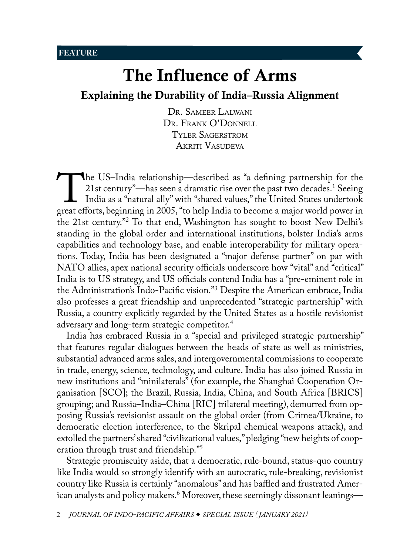<span id="page-0-1"></span>[Explaining the Durability of India–Russia Alignment](#page-0-0)

[Dr. Sameer Lalwani](#page-27-0) DR. FRANK O'DONNELL [Tyler Sagerstrom](#page-28-0) [Akriti Vasudeva](#page-28-0)

The US–India relationship—described as "a defining partnership for the 21st century"—has seen a dramatic rise over the past two decades.<sup>1</sup> Seeing India as a "natural ally" with "shared values," the United States undertook 21st century"—has seen a dramatic rise over the past two decades.<sup>1</sup> Seeing India as a "natural ally" with "shared values," the United States undertook the 21st century."[2](#page-28-0) To that end, Washington has sought to boost New Delhi's standing in the global order and international institutions, bolster India's arms capabilities and technology base, and enable interoperability for military operations. Today, India has been designated a "major defense partner" on par with NATO allies, apex national security officials underscore how "vital" and "critical" India is to US strategy, and US officials contend India has a "pre-eminent role in the Administration's Indo-Pacific vision.["3](#page-28-0) Despite the American embrace, India also professes a great friendship and unprecedented "strategic partnership" with Russia, a country explicitly regarded by the United States as a hostile revisionist adversary and long-term strategic competitor.<sup>[4](#page-29-0)</sup>

India has embraced Russia in a "special and privileged strategic partnership" that features regular dialogues between the heads of state as well as ministries, substantial advanced arms sales, and intergovernmental commissions to cooperate in trade, energy, science, technology, and culture. India has also joined Russia in new institutions and "minilaterals" (for example, the Shanghai Cooperation Organisation [SCO]; the Brazil, Russia, India, China, and South Africa [BRICS] grouping; and Russia–India–China [RIC] trilateral meeting), demurred from opposing Russia's revisionist assault on the global order (from Crimea/Ukraine, to democratic election interference, to the Skripal chemical weapons attack), and extolled the partners' shared "civilizational values," pledging "new heights of cooperation through trust and friendship."[5](#page-29-0)

<span id="page-0-0"></span>Strategic promiscuity aside, that a democratic, rule-bound, status-quo country like India would so strongly identify with an autocratic, rule-breaking, revisionist country like Russia is certainly "anomalous" and has baffled and frustrated Amer-ican analysts and policy makers.<sup>[6](#page-29-0)</sup> Moreover, these seemingly dissonant leanings—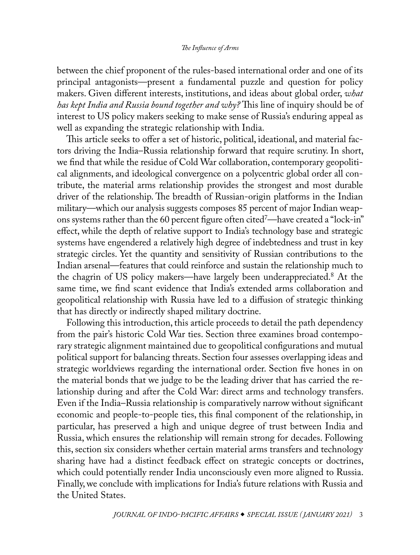<span id="page-1-0"></span>between the chief proponent of the rules-based international order and one of its principal antagonists—present a fundamental puzzle and question for policy makers. Given different interests, institutions, and ideas about global order, *what has kept India and Russia bound together and why?* This line of inquiry should be of interest to US policy makers seeking to make sense of Russia's enduring appeal as well as expanding the strategic relationship with India.

This article seeks to offer a set of historic, political, ideational, and material factors driving the India–Russia relationship forward that require scrutiny. In short, we find that while the residue of Cold War collaboration, contemporary geopolitical alignments, and ideological convergence on a polycentric global order all contribute, the material arms relationship provides the strongest and most durable driver of the relationship. The breadth of Russian-origin platforms in the Indian military—which our analysis suggests composes 85 percent of major Indian weapons systems rather than the 60 percent figure often cite[d7](#page-29-0) —have created a "lock-in" effect, while the depth of relative support to India's technology base and strategic systems have engendered a relatively high degree of indebtedness and trust in key strategic circles. Yet the quantity and sensitivity of Russian contributions to the Indian arsenal—features that could reinforce and sustain the relationship much to the chagrin of US policy makers—have largely been underappreciated[.8](#page-29-0) At the same time, we find scant evidence that India's extended arms collaboration and geopolitical relationship with Russia have led to a diffusion of strategic thinking that has directly or indirectly shaped military doctrine.

Following this introduction, this article proceeds to detail the path dependency from the pair's historic Cold War ties. Section three examines broad contemporary strategic alignment maintained due to geopolitical configurations and mutual political support for balancing threats. Section four assesses overlapping ideas and strategic worldviews regarding the international order. Section five hones in on the material bonds that we judge to be the leading driver that has carried the relationship during and after the Cold War: direct arms and technology transfers. Even if the India–Russia relationship is comparatively narrow without significant economic and people-to-people ties, this final component of the relationship, in particular, has preserved a high and unique degree of trust between India and Russia, which ensures the relationship will remain strong for decades. Following this, section six considers whether certain material arms transfers and technology sharing have had a distinct feedback effect on strategic concepts or doctrines, which could potentially render India unconsciously even more aligned to Russia. Finally, we conclude with implications for India's future relations with Russia and the United States.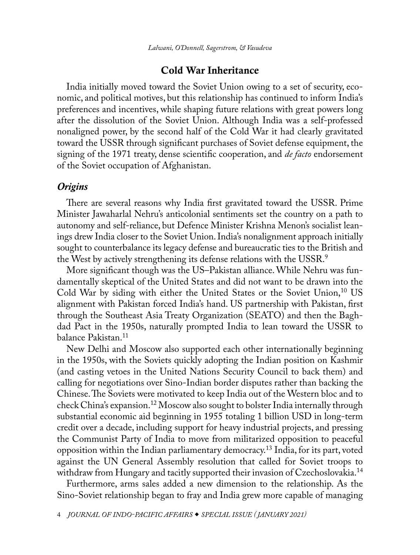## Cold War Inheritance

<span id="page-2-0"></span>India initially moved toward the Soviet Union owing to a set of security, economic, and political motives, but this relationship has continued to inform India's preferences and incentives, while shaping future relations with great powers long after the dissolution of the Soviet Union. Although India was a self-professed nonaligned power, by the second half of the Cold War it had clearly gravitated toward the USSR through significant purchases of Soviet defense equipment, the signing of the 1971 treaty, dense scientific cooperation, and *de facto* endorsement of the Soviet occupation of Afghanistan.

# *Origins*

There are several reasons why India first gravitated toward the USSR. Prime Minister Jawaharlal Nehru's anticolonial sentiments set the country on a path to autonomy and self-reliance, but Defence Minister Krishna Menon's socialist leanings drew India closer to the Soviet Union. India's nonalignment approach initially sought to counterbalance its legacy defense and bureaucratic ties to the British and the West by actively strengthening its defense relations with the USSR.<sup>[9](#page-29-0)</sup>

More significant though was the US–Pakistan alliance. While Nehru was fundamentally skeptical of the United States and did not want to be drawn into the Cold War by siding with either the United States or the Soviet Union,  $^{10}$  US alignment with Pakistan forced India's hand. US partnership with Pakistan, first through the Southeast Asia Treaty Organization (SEATO) and then the Baghdad Pact in the 1950s, naturally prompted India to lean toward the USSR to balance Pakistan.[11](#page-29-0)

New Delhi and Moscow also supported each other internationally beginning in the 1950s, with the Soviets quickly adopting the Indian position on Kashmir (and casting vetoes in the United Nations Security Council to back them) and calling for negotiations over Sino-Indian border disputes rather than backing the Chinese. The Soviets were motivated to keep India out of the Western bloc and to check China's expansion.<sup>12</sup> Moscow also sought to bolster India internally through substantial economic aid beginning in 1955 totaling 1 billion USD in long-term credit over a decade, including support for heavy industrial projects, and pressing the Communist Party of India to move from militarized opposition to peaceful opposition within the Indian parliamentary democracy[.13](#page-29-0) India, for its part, voted against the UN General Assembly resolution that called for Soviet troops to withdraw from Hungary and tacitly supported their invasion of Czechoslovakia.<sup>[14](#page-29-0)</sup>

Furthermore, arms sales added a new dimension to the relationship. As the Sino-Soviet relationship began to fray and India grew more capable of managing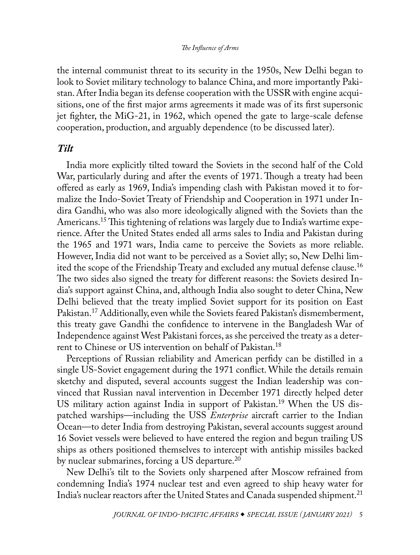<span id="page-3-0"></span>the internal communist threat to its security in the 1950s, New Delhi began to look to Soviet military technology to balance China, and more importantly Pakistan. After India began its defense cooperation with the USSR with engine acquisitions, one of the first major arms agreements it made was of its first supersonic jet fighter, the MiG-21, in 1962, which opened the gate to large-scale defense cooperation, production, and arguably dependence (to be discussed later).

## *Tilt*

India more explicitly tilted toward the Soviets in the second half of the Cold War, particularly during and after the events of 1971. Though a treaty had been offered as early as 1969, India's impending clash with Pakistan moved it to formalize the Indo-Soviet Treaty of Friendship and Cooperation in 1971 under Indira Gandhi, who was also more ideologically aligned with the Soviets than the Americans.[15](#page-29-0) This tightening of relations was largely due to India's wartime experience. After the United States ended all arms sales to India and Pakistan during the 1965 and 1971 wars, India came to perceive the Soviets as more reliable. However, India did not want to be perceived as a Soviet ally; so, New Delhi limited the scope of the Friendship Treaty and excluded any mutual defense clause[.16](#page-29-0) The two sides also signed the treaty for different reasons: the Soviets desired India's support against China, and, although India also sought to deter China, New Delhi believed that the treaty implied Soviet support for its position on East Pakistan.<sup>17</sup> Additionally, even while the Soviets feared Pakistan's dismemberment, this treaty gave Gandhi the confidence to intervene in the Bangladesh War of Independence against West Pakistani forces, as she perceived the treaty as a deterrent to Chinese or US intervention on behalf of Pakistan[.18](#page-29-0)

Perceptions of Russian reliability and American perfidy can be distilled in a single US-Soviet engagement during the 1971 conflict. While the details remain sketchy and disputed, several accounts suggest the Indian leadership was convinced that Russian naval intervention in December 1971 directly helped deter US military action against India in support of Pakistan.[19](#page-29-0) When the US dispatched warships—including the USS *Enterprise* aircraft carrier to the Indian Ocean—to deter India from destroying Pakistan, several accounts suggest around 16 Soviet vessels were believed to have entered the region and begun trailing US ships as others positioned themselves to intercept with antiship missiles backed by nuclear submarines, forcing a US departure.<sup>[20](#page-29-0)</sup>

New Delhi's tilt to the Soviets only sharpened after Moscow refrained from condemning India's 1974 nuclear test and even agreed to ship heavy water for India's nuclear reactors after the United States and Canada suspended shipment.<sup>21</sup>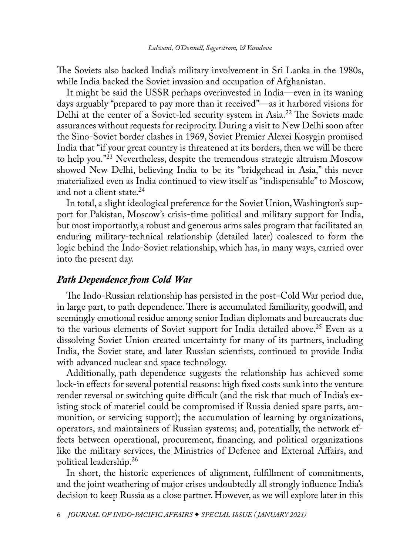<span id="page-4-0"></span>The Soviets also backed India's military involvement in Sri Lanka in the 1980s, while India backed the Soviet invasion and occupation of Afghanistan.

It might be said the USSR perhaps overinvested in India—even in its waning days arguably "prepared to pay more than it received"—as it harbored visions for Delhi at the center of a Soviet-led security system in Asia[.22](#page-29-0) The Soviets made assurances without requests for reciprocity. During a visit to New Delhi soon after the Sino-Soviet border clashes in 1969, Soviet Premier Alexei Kosygin promised India that "if your great country is threatened at its borders, then we will be there to help you."[23](#page-29-0) Nevertheless, despite the tremendous strategic altruism Moscow showed New Delhi, believing India to be its "bridgehead in Asia," this never materialized even as India continued to view itself as "indispensable" to Moscow, and not a client state.<sup>[24](#page-29-0)</sup>

In total, a slight ideological preference for the Soviet Union, Washington's support for Pakistan, Moscow's crisis-time political and military support for India, but most importantly, a robust and generous arms sales program that facilitated an enduring military-technical relationship (detailed later) coalesced to form the logic behind the Indo-Soviet relationship, which has, in many ways, carried over into the present day.

# *Path Dependence from Cold War*

The Indo-Russian relationship has persisted in the post–Cold War period due, in large part, to path dependence. There is accumulated familiarity, goodwill, and seemingly emotional residue among senior Indian diplomats and bureaucrats due to the various elements of Soviet support for India detailed above.<sup>25</sup> Even as a dissolving Soviet Union created uncertainty for many of its partners, including India, the Soviet state, and later Russian scientists, continued to provide India with advanced nuclear and space technology.

Additionally, path dependence suggests the relationship has achieved some lock-in effects for several potential reasons: high fixed costs sunk into the venture render reversal or switching quite difficult (and the risk that much of India's existing stock of materiel could be compromised if Russia denied spare parts, ammunition, or servicing support); the accumulation of learning by organizations, operators, and maintainers of Russian systems; and, potentially, the network effects between operational, procurement, financing, and political organizations like the military services, the Ministries of Defence and External Affairs, and political leadership.[26](#page-30-0)

In short, the historic experiences of alignment, fulfillment of commitments, and the joint weathering of major crises undoubtedly all strongly influence India's decision to keep Russia as a close partner. However, as we will explore later in this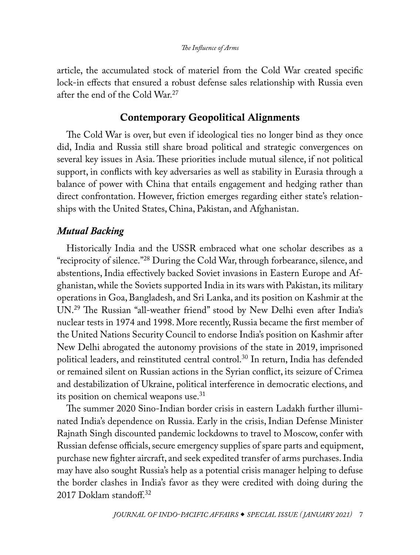<span id="page-5-0"></span>article, the accumulated stock of materiel from the Cold War created specific lock-in effects that ensured a robust defense sales relationship with Russia even after the end of the Cold War.[27](#page-30-0)

# Contemporary Geopolitical Alignments

The Cold War is over, but even if ideological ties no longer bind as they once did, India and Russia still share broad political and strategic convergences on several key issues in Asia. These priorities include mutual silence, if not political support, in conflicts with key adversaries as well as stability in Eurasia through a balance of power with China that entails engagement and hedging rather than direct confrontation. However, friction emerges regarding either state's relationships with the United States, China, Pakistan, and Afghanistan.

# *Mutual Backing*

Historically India and the USSR embraced what one scholar describes as a "reciprocity of silence."[28](#page-30-0) During the Cold War, through forbearance, silence, and abstentions, India effectively backed Soviet invasions in Eastern Europe and Afghanistan, while the Soviets supported India in its wars with Pakistan, its military operations in Goa, Bangladesh, and Sri Lanka, and its position on Kashmir at the UN.[29](#page-30-0) The Russian "all-weather friend" stood by New Delhi even after India's nuclear tests in 1974 and 1998. More recently, Russia became the first member of the United Nations Security Council to endorse India's position on Kashmir after New Delhi abrogated the autonomy provisions of the state in 2019, imprisoned political leaders, and reinstituted central control.[30](#page-30-0) In return, India has defended or remained silent on Russian actions in the Syrian conflict, its seizure of Crimea and destabilization of Ukraine, political interference in democratic elections, and its position on chemical weapons use.<sup>31</sup>

The summer 2020 Sino-Indian border crisis in eastern Ladakh further illuminated India's dependence on Russia. Early in the crisis, Indian Defense Minister Rajnath Singh discounted pandemic lockdowns to travel to Moscow, confer with Russian defense officials, secure emergency supplies of spare parts and equipment, purchase new fighter aircraft, and seek expedited transfer of arms purchases. India may have also sought Russia's help as a potential crisis manager helping to defuse the border clashes in India's favor as they were credited with doing during the 2017 Doklam standoff.<sup>32</sup>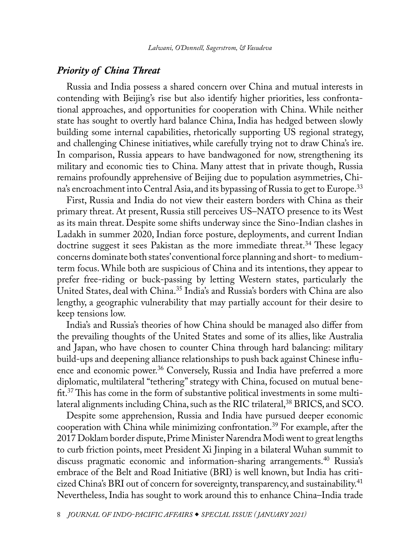## <span id="page-6-0"></span>*Priority of China Threat*

Russia and India possess a shared concern over China and mutual interests in contending with Beijing's rise but also identify higher priorities, less confrontational approaches, and opportunities for cooperation with China. While neither state has sought to overtly hard balance China, India has hedged between slowly building some internal capabilities, rhetorically supporting US regional strategy, and challenging Chinese initiatives, while carefully trying not to draw China's ire. In comparison, Russia appears to have bandwagoned for now, strengthening its military and economic ties to China. Many attest that in private though, Russia remains profoundly apprehensive of Beijing due to population asymmetries, China's encroachment into Central Asia, and its bypassing of Russia to get to Europe.<sup>33</sup>

First, Russia and India do not view their eastern borders with China as their primary threat. At present, Russia still perceives US–NATO presence to its West as its main threat. Despite some shifts underway since the Sino-Indian clashes in Ladakh in summer 2020, Indian force posture, deployments, and current Indian doctrine suggest it sees Pakistan as the more immediate threat.[34](#page-30-0) These legacy concerns dominate both states' conventional force planning and short- to mediumterm focus. While both are suspicious of China and its intentions, they appear to prefer free-riding or buck-passing by letting Western states, particularly the United States, deal with China.[35](#page-30-0) India's and Russia's borders with China are also lengthy, a geographic vulnerability that may partially account for their desire to keep tensions low.

India's and Russia's theories of how China should be managed also differ from the prevailing thoughts of the United States and some of its allies, like Australia and Japan, who have chosen to counter China through hard balancing: military build-ups and deepening alliance relationships to push back against Chinese influence and economic power[.36](#page-30-0) Conversely, Russia and India have preferred a more diplomatic, multilateral "tethering" strategy with China, focused on mutual benefit[.37](#page-30-0) This has come in the form of substantive political investments in some multilateral alignments including China, such as the RIC trilateral,<sup>38</sup> BRICS, and SCO.

Despite some apprehension, Russia and India have pursued deeper economic cooperation with China while minimizing confrontation.[39](#page-31-0) For example, after the 2017 Doklam border dispute, Prime Minister Narendra Modi went to great lengths to curb friction points, meet President Xi Jinping in a bilateral Wuhan summit to discuss pragmatic economic and information-sharing arrangements.<sup>40</sup> Russia's embrace of the Belt and Road Initiative (BRI) is well known, but India has criticized China's BRI out of concern for sovereignty, transparency, and sustainability.<sup>41</sup> Nevertheless, India has sought to work around this to enhance China–India trade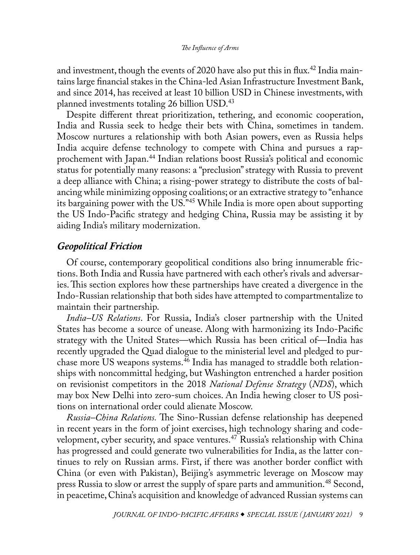<span id="page-7-0"></span>and investment, though the events of 2020 have also put this in flux.<sup>42</sup> India maintains large financial stakes in the China-led Asian Infrastructure Investment Bank, and since 2014, has received at least 10 billion USD in Chinese investments, with planned investments totaling 26 billion USD.[43](#page-31-0)

Despite different threat prioritization, tethering, and economic cooperation, India and Russia seek to hedge their bets with China, sometimes in tandem. Moscow nurtures a relationship with both Asian powers, even as Russia helps India acquire defense technology to compete with China and pursues a rapprochement with Japan[.44](#page-31-0) Indian relations boost Russia's political and economic status for potentially many reasons: a "preclusion" strategy with Russia to prevent a deep alliance with China; a rising-power strategy to distribute the costs of balancing while minimizing opposing coalitions; or an extractive strategy to "enhance its bargaining power with the US."[45](#page-31-0) While India is more open about supporting the US Indo-Pacific strategy and hedging China, Russia may be assisting it by aiding India's military modernization.

## *Geopolitical Friction*

Of course, contemporary geopolitical conditions also bring innumerable frictions. Both India and Russia have partnered with each other's rivals and adversaries. This section explores how these partnerships have created a divergence in the Indo-Russian relationship that both sides have attempted to compartmentalize to maintain their partnership.

*India–US Relations*. For Russia, India's closer partnership with the United States has become a source of unease. Along with harmonizing its Indo-Pacific strategy with the United States—which Russia has been critical of—India has recently upgraded the Quad dialogue to the ministerial level and pledged to purchase more US weapons systems.<sup>46</sup> India has managed to straddle both relationships with noncommittal hedging, but Washington entrenched a harder position on revisionist competitors in the 2018 *National Defense Strategy* (*NDS*), which may box New Delhi into zero-sum choices. An India hewing closer to US positions on international order could alienate Moscow.

*Russia–China Relations.* The Sino-Russian defense relationship has deepened in recent years in the form of joint exercises, high technology sharing and codevelopment, cyber security, and space ventures.[47](#page-31-0) Russia's relationship with China has progressed and could generate two vulnerabilities for India, as the latter continues to rely on Russian arms. First, if there was another border conflict with China (or even with Pakistan), Beijing's asymmetric leverage on Moscow may press Russia to slow or arrest the supply of spare parts and ammunition.<sup>48</sup> Second, in peacetime, China's acquisition and knowledge of advanced Russian systems can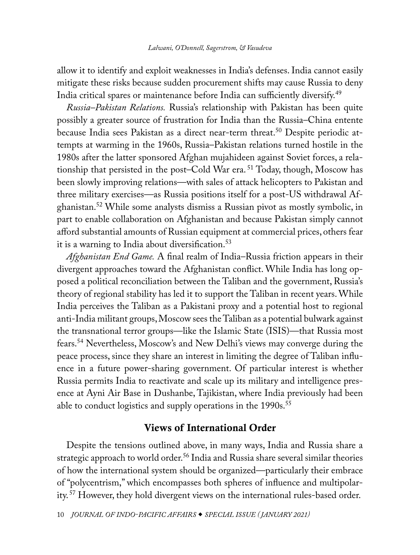<span id="page-8-0"></span>allow it to identify and exploit weaknesses in India's defenses. India cannot easily mitigate these risks because sudden procurement shifts may cause Russia to deny India critical spares or maintenance before India can sufficiently diversify.[49](#page-31-0)

*Russia–Pakistan Relations.* Russia's relationship with Pakistan has been quite possibly a greater source of frustration for India than the Russia–China entente because India sees Pakistan as a direct near-term threat.<sup>50</sup> Despite periodic attempts at warming in the 1960s, Russia–Pakistan relations turned hostile in the 1980s after the latter sponsored Afghan mujahideen against Soviet forces, a relationship that persisted in the post–Cold War era. [51](#page-32-0) Today, though, Moscow has been slowly improving relations—with sales of attack helicopters to Pakistan and three military exercises—as Russia positions itself for a post-US withdrawal Afghanistan.[52](#page-32-0) While some analysts dismiss a Russian pivot as mostly symbolic, in part to enable collaboration on Afghanistan and because Pakistan simply cannot afford substantial amounts of Russian equipment at commercial prices, others fear it is a warning to India about diversification.<sup>[53](#page-32-0)</sup>

*Afghanistan End Game.* A final realm of India–Russia friction appears in their divergent approaches toward the Afghanistan conflict. While India has long opposed a political reconciliation between the Taliban and the government, Russia's theory of regional stability has led it to support the Taliban in recent years. While India perceives the Taliban as a Pakistani proxy and a potential host to regional anti-India militant groups, Moscow sees the Taliban as a potential bulwark against the transnational terror groups—like the Islamic State (ISIS)—that Russia most fears[.54](#page-32-0) Nevertheless, Moscow's and New Delhi's views may converge during the peace process, since they share an interest in limiting the degree of Taliban influence in a future power-sharing government. Of particular interest is whether Russia permits India to reactivate and scale up its military and intelligence presence at Ayni Air Base in Dushanbe, Tajikistan, where India previously had been able to conduct logistics and supply operations in the 1990s.<sup>[55](#page-32-0)</sup>

# Views of International Order

Despite the tensions outlined above, in many ways, India and Russia share a strategic approach to world order.<sup>[56](#page-32-0)</sup> India and Russia share several similar theories of how the international system should be organized—particularly their embrace of "polycentrism," which encompasses both spheres of influence and multipolarity. [57](#page-32-0) However, they hold divergent views on the international rules-based order.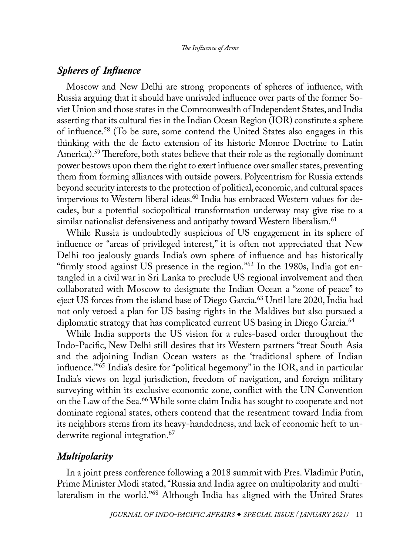# <span id="page-9-0"></span>*Spheres of Influence*

Moscow and New Delhi are strong proponents of spheres of influence, with Russia arguing that it should have unrivaled influence over parts of the former Soviet Union and those states in the Commonwealth of Independent States, and India asserting that its cultural ties in the Indian Ocean Region (IOR) constitute a sphere of influence[.58](#page-32-0) (To be sure, some contend the United States also engages in this thinking with the de facto extension of its historic Monroe Doctrine to Latin America).<sup>59</sup> Therefore, both states believe that their role as the regionally dominant power bestows upon them the right to exert influence over smaller states, preventing them from forming alliances with outside powers. Polycentrism for Russia extends beyond security interests to the protection of political, economic, and cultural spaces impervious to Western liberal ideas.<sup>60</sup> India has embraced Western values for decades, but a potential sociopolitical transformation underway may give rise to a similar nationalist defensiveness and antipathy toward Western liberalism.<sup>61</sup>

While Russia is undoubtedly suspicious of US engagement in its sphere of influence or "areas of privileged interest," it is often not appreciated that New Delhi too jealously guards India's own sphere of influence and has historically "firmly stood against US presence in the region."[62](#page-32-0) In the 1980s, India got entangled in a civil war in Sri Lanka to preclude US regional involvement and then collaborated with Moscow to designate the Indian Ocean a "zone of peace" to eject US forces from the island base of Diego Garcia.<sup>63</sup> Until late 2020, India had not only vetoed a plan for US basing rights in the Maldives but also pursued a diplomatic strategy that has complicated current US basing in Diego Garcia.<sup>64</sup>

While India supports the US vision for a rules-based order throughout the Indo-Pacific, New Delhi still desires that its Western partners "treat South Asia and the adjoining Indian Ocean waters as the 'traditional sphere of Indian influence.'["65](#page-33-0) India's desire for "political hegemony" in the IOR, and in particular India's views on legal jurisdiction, freedom of navigation, and foreign military surveying within its exclusive economic zone, conflict with the UN Convention on the Law of the Sea.<sup>[66](#page-33-0)</sup> While some claim India has sought to cooperate and not dominate regional states, others contend that the resentment toward India from its neighbors stems from its heavy-handedness, and lack of economic heft to underwrite regional integration.<sup>67</sup>

## *Multipolarity*

In a joint press conference following a 2018 summit with Pres. Vladimir Putin, Prime Minister Modi stated, "Russia and India agree on multipolarity and multilateralism in the world."[68](#page-33-0) Although India has aligned with the United States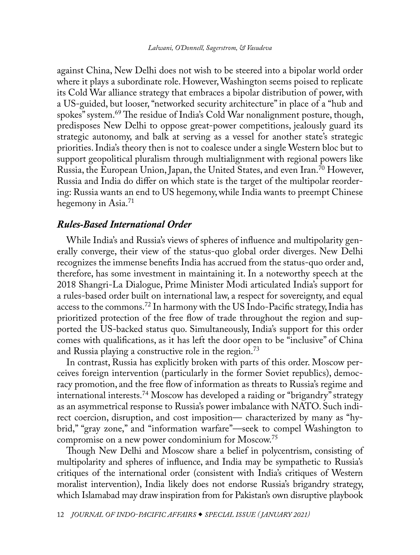<span id="page-10-0"></span>against China, New Delhi does not wish to be steered into a bipolar world order where it plays a subordinate role. However, Washington seems poised to replicate its Cold War alliance strategy that embraces a bipolar distribution of power, with a US-guided, but looser, "networked security architecture" in place of a "hub and spokes" system.[69](#page-33-0) The residue of India's Cold War nonalignment posture, though, predisposes New Delhi to oppose great-power competitions, jealously guard its strategic autonomy, and balk at serving as a vessel for another state's strategic priorities. India's theory then is not to coalesce under a single Western bloc but to support geopolitical pluralism through multialignment with regional powers like Russia, the European Union, Japan, the United States, and even Iran.<sup>70</sup> However, Russia and India do differ on which state is the target of the multipolar reordering: Russia wants an end to US hegemony, while India wants to preempt Chinese hegemony in Asia.<sup>[71](#page-33-0)</sup>

## *Rules-Based International Order*

While India's and Russia's views of spheres of influence and multipolarity generally converge, their view of the status-quo global order diverges. New Delhi recognizes the immense benefits India has accrued from the status-quo order and, therefore, has some investment in maintaining it. In a noteworthy speech at the 2018 Shangri-La Dialogue, Prime Minister Modi articulated India's support for a rules-based order built on international law, a respect for sovereignty, and equal access to the commons.[72](#page-33-0) In harmony with the US Indo-Pacific strategy, India has prioritized protection of the free flow of trade throughout the region and supported the US-backed status quo. Simultaneously, India's support for this order comes with qualifications, as it has left the door open to be "inclusive" of China and Russia playing a constructive role in the region.<sup>[73](#page-33-0)</sup>

In contrast, Russia has explicitly broken with parts of this order. Moscow perceives foreign intervention (particularly in the former Soviet republics), democracy promotion, and the free flow of information as threats to Russia's regime and international interests.[74](#page-33-0) Moscow has developed a raiding or "brigandry" strategy as an asymmetrical response to Russia's power imbalance with NATO. Such indirect coercion, disruption, and cost imposition— characterized by many as "hybrid," "gray zone," and "information warfare"—seek to compel Washington to compromise on a new power condominium for Moscow.[75](#page-33-0)

Though New Delhi and Moscow share a belief in polycentrism, consisting of multipolarity and spheres of influence, and India may be sympathetic to Russia's critiques of the international order (consistent with India's critiques of Western moralist intervention), India likely does not endorse Russia's brigandry strategy, which Islamabad may draw inspiration from for Pakistan's own disruptive playbook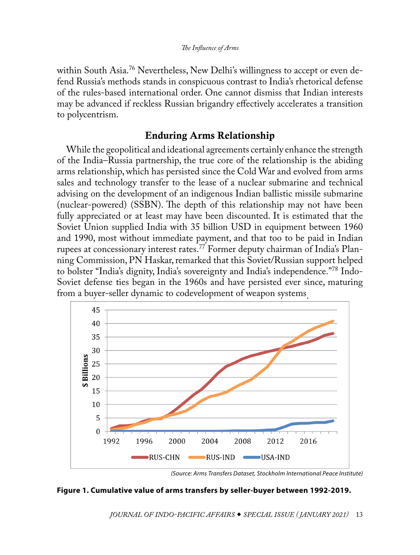<span id="page-11-0"></span>within South Asia.<sup>76</sup> Nevertheless, New Delhi's willingness to accept or even defend Russia's methods stands in conspicuous contrast to India's rhetorical defense of the rules-based international order. One cannot dismiss that Indian interests may be advanced if reckless Russian brigandry effectively accelerates a transition to polycentrism.

# Enduring Arms Relationship

While the geopolitical and ideational agreements certainly enhance the strength of the India–Russia partnership, the true core of the relationship is the abiding arms relationship, which has persisted since the Cold War and evolved from arms sales and technology transfer to the lease of a nuclear submarine and technical advising on the development of an indigenous Indian ballistic missile submarine (nuclear-powered) (SSBN). The depth of this relationship may not have been fully appreciated or at least may have been discounted. It is estimated that the Soviet Union supplied India with 35 billion USD in equipment between 1960 and 1990, most without immediate payment, and that too to be paid in Indian rupees at concessionary interest rates.[77](#page-33-0) Former deputy chairman of India's Planning Commission, PN Haskar, remarked that this Soviet/Russian support helped to bolster "India's dignity, India's sovereignty and India's independence."[78](#page-33-0) Indo-Soviet defense ties began in the 1960s and have persisted ever since, maturing from a buyer-seller dynamic to codevelopment of weapon systems.



*<sup>(</sup>Source: Arms Transfers Dataset, Stockholm International Peace Institute)*

## **Figure 1. Cumulative value of arms transfers by seller-buyer between 1992-2019.**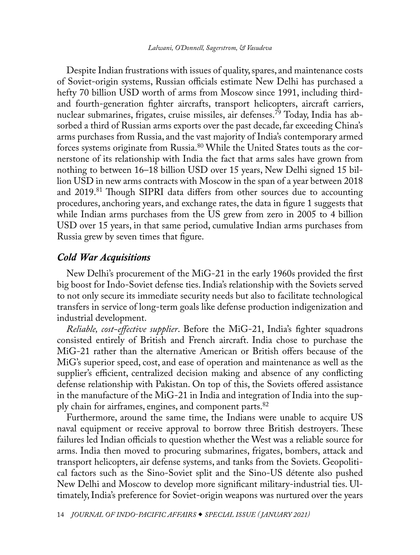<span id="page-12-0"></span>Despite Indian frustrations with issues of quality, spares, and maintenance costs of Soviet-origin systems, Russian officials estimate New Delhi has purchased a hefty 70 billion USD worth of arms from Moscow since 1991, including thirdand fourth-generation fighter aircrafts, transport helicopters, aircraft carriers, nuclear submarines, frigates, cruise missiles, air defenses.[79](#page-34-0) Today, India has absorbed a third of Russian arms exports over the past decade, far exceeding China's arms purchases from Russia, and the vast majority of India's contemporary armed forces systems originate from Russia.[80](#page-34-0) While the United States touts as the cornerstone of its relationship with India the fact that arms sales have grown from nothing to between 16–18 billion USD over 15 years, New Delhi signed 15 billion USD in new arms contracts with Moscow in the span of a year between 2018 and 2019.<sup>81</sup> Though SIPRI data differs from other sources due to accounting procedures, anchoring years, and exchange rates, the data in figure 1 suggests that while Indian arms purchases from the US grew from zero in 2005 to 4 billion USD over 15 years, in that same period, cumulative Indian arms purchases from Russia grew by seven times that figure.

## *Cold War Acquisitions*

New Delhi's procurement of the MiG-21 in the early 1960s provided the first big boost for Indo-Soviet defense ties. India's relationship with the Soviets served to not only secure its immediate security needs but also to facilitate technological transfers in service of long-term goals like defense production indigenization and industrial development.

*Reliable, cost-effective supplier*. Before the MiG-21, India's fighter squadrons consisted entirely of British and French aircraft. India chose to purchase the MiG-21 rather than the alternative American or British offers because of the MiG's superior speed, cost, and ease of operation and maintenance as well as the supplier's efficient, centralized decision making and absence of any conflicting defense relationship with Pakistan. On top of this, the Soviets offered assistance in the manufacture of the MiG-21 in India and integration of India into the sup-ply chain for airframes, engines, and component parts.<sup>[82](#page-34-0)</sup>

Furthermore, around the same time, the Indians were unable to acquire US naval equipment or receive approval to borrow three British destroyers. These failures led Indian officials to question whether the West was a reliable source for arms. India then moved to procuring submarines, frigates, bombers, attack and transport helicopters, air defense systems, and tanks from the Soviets. Geopolitical factors such as the Sino-Soviet split and the Sino-US détente also pushed New Delhi and Moscow to develop more significant military-industrial ties. Ultimately, India's preference for Soviet-origin weapons was nurtured over the years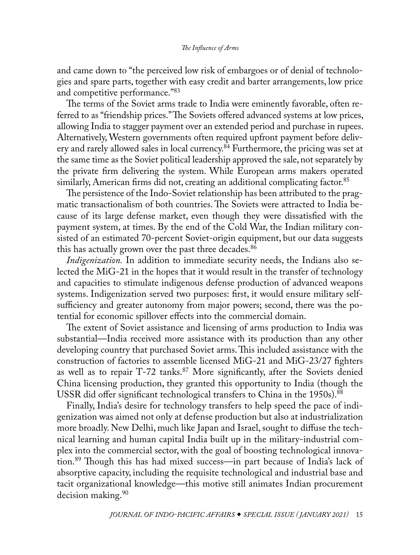<span id="page-13-0"></span>and came down to "the perceived low risk of embargoes or of denial of technologies and spare parts, together with easy credit and barter arrangements, low price and competitive performance."<sup>[83](#page-34-0)</sup>

The terms of the Soviet arms trade to India were eminently favorable, often referred to as "friendship prices." The Soviets offered advanced systems at low prices, allowing India to stagger payment over an extended period and purchase in rupees. Alternatively, Western governments often required upfront payment before delivery and rarely allowed sales in local currency.<sup>84</sup> Furthermore, the pricing was set at the same time as the Soviet political leadership approved the sale, not separately by the private firm delivering the system. While European arms makers operated similarly, American firms did not, creating an additional complicating factor.<sup>85</sup>

The persistence of the Indo-Soviet relationship has been attributed to the pragmatic transactionalism of both countries. The Soviets were attracted to India because of its large defense market, even though they were dissatisfied with the payment system, at times. By the end of the Cold War, the Indian military consisted of an estimated 70-percent Soviet-origin equipment, but our data suggests this has actually grown over the past three decades.<sup>[86](#page-34-0)</sup>

*Indigenization*. In addition to immediate security needs, the Indians also selected the MiG-21 in the hopes that it would result in the transfer of technology and capacities to stimulate indigenous defense production of advanced weapons systems. Indigenization served two purposes: first, it would ensure military selfsufficiency and greater autonomy from major powers; second, there was the potential for economic spillover effects into the commercial domain.

The extent of Soviet assistance and licensing of arms production to India was substantial—India received more assistance with its production than any other developing country that purchased Soviet arms. This included assistance with the construction of factories to assemble licensed MiG-21 and MiG-23/27 fighters as well as to repair T-72 tanks.<sup>87</sup> More significantly, after the Soviets denied China licensing production, they granted this opportunity to India (though the USSR did offer significant technological transfers to China in the 1950s).<sup>88</sup>

Finally, India's desire for technology transfers to help speed the pace of indigenization was aimed not only at defense production but also at industrialization more broadly. New Delhi, much like Japan and Israel, sought to diffuse the technical learning and human capital India built up in the military-industrial complex into the commercial sector, with the goal of boosting technological innovation.[89](#page-34-0) Though this has had mixed success—in part because of India's lack of absorptive capacity, including the requisite technological and industrial base and tacit organizational knowledge—this motive still animates Indian procurement decision making.<sup>[90](#page-34-0)</sup>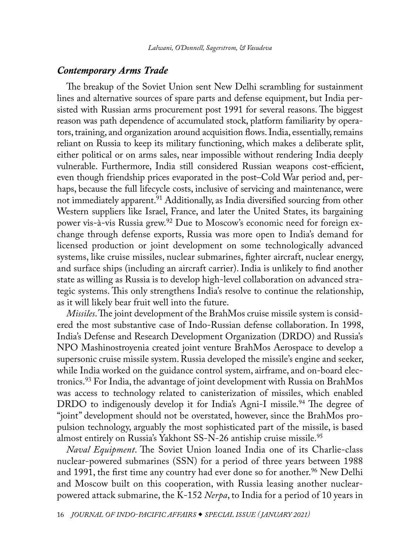## <span id="page-14-0"></span>*Contemporary Arms Trade*

The breakup of the Soviet Union sent New Delhi scrambling for sustainment lines and alternative sources of spare parts and defense equipment, but India persisted with Russian arms procurement post 1991 for several reasons. The biggest reason was path dependence of accumulated stock, platform familiarity by operators, training, and organization around acquisition flows. India, essentially, remains reliant on Russia to keep its military functioning, which makes a deliberate split, either political or on arms sales, near impossible without rendering India deeply vulnerable. Furthermore, India still considered Russian weapons cost-efficient, even though friendship prices evaporated in the post–Cold War period and, perhaps, because the full lifecycle costs, inclusive of servicing and maintenance, were not immediately apparent[.91](#page-34-0) Additionally, as India diversified sourcing from other Western suppliers like Israel, France, and later the United States, its bargaining power vis-à-vis Russia grew.[92](#page-34-0) Due to Moscow's economic need for foreign exchange through defense exports, Russia was more open to India's demand for licensed production or joint development on some technologically advanced systems, like cruise missiles, nuclear submarines, fighter aircraft, nuclear energy, and surface ships (including an aircraft carrier). India is unlikely to find another state as willing as Russia is to develop high-level collaboration on advanced strategic systems. This only strengthens India's resolve to continue the relationship, as it will likely bear fruit well into the future.

*Missiles*. The joint development of the BrahMos cruise missile system is considered the most substantive case of Indo-Russian defense collaboration. In 1998, India's Defense and Research Development Organization (DRDO) and Russia's NPO Mashinostroyenia created joint venture BrahMos Aerospace to develop a supersonic cruise missile system. Russia developed the missile's engine and seeker, while India worked on the guidance control system, airframe, and on-board electronics.[93](#page-34-0) For India, the advantage of joint development with Russia on BrahMos was access to technology related to canisterization of missiles, which enabled DRDO to indigenously develop it for India's Agni-I missile.<sup>94</sup> The degree of "joint" development should not be overstated, however, since the BrahMos propulsion technology, arguably the most sophisticated part of the missile, is based almost entirely on Russia's Yakhont SS-N-26 antiship cruise missile.<sup>95</sup>

*Naval Equipment*. The Soviet Union loaned India one of its Charlie-class nuclear-powered submarines (SSN) for a period of three years between 1988 and 1991, the first time any country had ever done so for another.<sup>[96](#page-35-0)</sup> New Delhi and Moscow built on this cooperation, with Russia leasing another nuclearpowered attack submarine, the K-152 *Nerpa*, to India for a period of 10 years in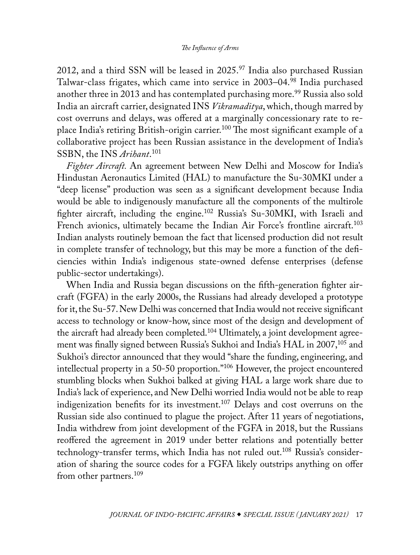<span id="page-15-0"></span>2012, and a third SSN will be leased in  $2025.^{97}$  $2025.^{97}$  $2025.^{97}$  India also purchased Russian Talwar-class frigates, which came into service in 2003–04.<sup>98</sup> India purchased another three in 2013 and has contemplated purchasing more.<sup>[99](#page-35-0)</sup> Russia also sold India an aircraft carrier, designated INS *Vikramaditya*, which, though marred by cost overruns and delays, was offered at a marginally concessionary rate to replace India's retiring British-origin carrier.[100](#page-35-0) The most significant example of a collaborative project has been Russian assistance in the development of India's SSBN, the INS *Arihant*. [101](#page-35-0)

*Fighter Aircraft.* An agreement between New Delhi and Moscow for India's Hindustan Aeronautics Limited (HAL) to manufacture the Su-30MKI under a "deep license" production was seen as a significant development because India would be able to indigenously manufacture all the components of the multirole fighter aircraft, including the engine.[102](#page-35-0) Russia's Su-30MKI, with Israeli and French avionics, ultimately became the Indian Air Force's frontline aircraft.<sup>103</sup> Indian analysts routinely bemoan the fact that licensed production did not result in complete transfer of technology, but this may be more a function of the deficiencies within India's indigenous state-owned defense enterprises (defense public-sector undertakings).

When India and Russia began discussions on the fifth-generation fighter aircraft (FGFA) in the early 2000s, the Russians had already developed a prototype for it, the Su-57. New Delhi was concerned that India would not receive significant access to technology or know-how, since most of the design and development of the aircraft had already been completed.<sup>104</sup> Ultimately, a joint development agree-ment was finally signed between Russia's Sukhoi and India's HAL in 2007,<sup>[105](#page-35-0)</sup> and Sukhoi's director announced that they would "share the funding, engineering, and intellectual property in a 50-50 proportion."[106](#page-35-0) However, the project encountered stumbling blocks when Sukhoi balked at giving HAL a large work share due to India's lack of experience, and New Delhi worried India would not be able to reap indigenization benefits for its investment.<sup>107</sup> Delays and cost overruns on the Russian side also continued to plague the project. After 11 years of negotiations, India withdrew from joint development of the FGFA in 2018, but the Russians reoffered the agreement in 2019 under better relations and potentially better technology-transfer terms, which India has not ruled out.<sup>108</sup> Russia's consideration of sharing the source codes for a FGFA likely outstrips anything on offer from other partners.<sup>109</sup>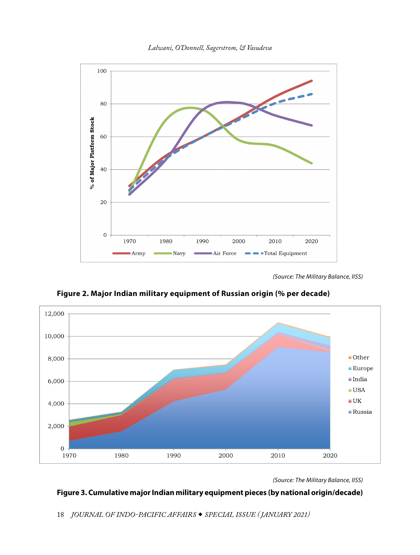

*Lalwani, O'Donnell, Sagerstrom, & Vasudeva*

*(Source: The Military Balance, IISS)*



**Figure 2. Major Indian military equipment of Russian origin (% per decade)**

*(Source: The Military Balance, IISS)* 

# **Figure 3. Cumulative major Indian military equipment pieces (by national origin/decade)**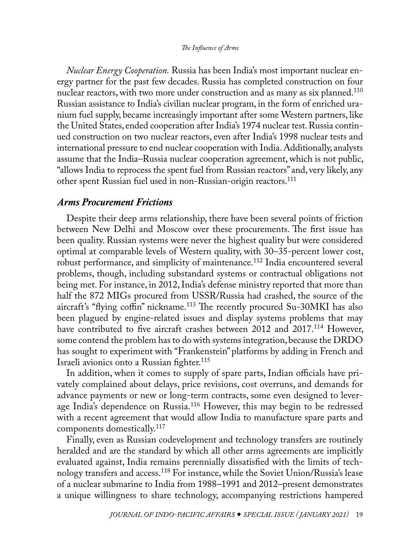<span id="page-17-0"></span>*Nuclear Energy Cooperation.* Russia has been India's most important nuclear energy partner for the past few decades. Russia has completed construction on four nuclear reactors, with two more under construction and as many as six planned.<sup>110</sup> Russian assistance to India's civilian nuclear program, in the form of enriched uranium fuel supply, became increasingly important after some Western partners, like the United States, ended cooperation after India's 1974 nuclear test. Russia continued construction on two nuclear reactors, even after India's 1998 nuclear tests and international pressure to end nuclear cooperation with India. Additionally, analysts assume that the India–Russia nuclear cooperation agreement, which is not public, "allows India to reprocess the spent fuel from Russian reactors" and, very likely, any other spent Russian fuel used in non-Russian-origin reactors[.111](#page-36-0)

## *Arms Procurement Frictions*

Despite their deep arms relationship, there have been several points of friction between New Delhi and Moscow over these procurements. The first issue has been quality. Russian systems were never the highest quality but were considered optimal at comparable levels of Western quality, with 30–35-percent lower cost, robust performance, and simplicity of maintenance.<sup>112</sup> India encountered several problems, though, including substandard systems or contractual obligations not being met. For instance, in 2012, India's defense ministry reported that more than half the 872 MIGs procured from USSR/Russia had crashed, the source of the aircraft's "flying coffin" nickname.<sup>113</sup> The recently procured Su-30MKI has also been plagued by engine-related issues and display systems problems that may have contributed to five aircraft crashes between 2012 and 2017.<sup>114</sup> However, some contend the problem has to do with systems integration, because the DRDO has sought to experiment with "Frankenstein" platforms by adding in French and Israeli avionics onto a Russian fighter.<sup>[115](#page-36-0)</sup>

In addition, when it comes to supply of spare parts, Indian officials have privately complained about delays, price revisions, cost overruns, and demands for advance payments or new or long-term contracts, some even designed to leverage India's dependence on Russia.[116](#page-36-0) However, this may begin to be redressed with a recent agreement that would allow India to manufacture spare parts and components domestically.[117](#page-36-0)

Finally, even as Russian codevelopment and technology transfers are routinely heralded and are the standard by which all other arms agreements are implicitly evaluated against, India remains perennially dissatisfied with the limits of technology transfers and access.[118](#page-36-0) For instance, while the Soviet Union/Russia's lease of a nuclear submarine to India from 1988–1991 and 2012–present demonstrates a unique willingness to share technology, accompanying restrictions hampered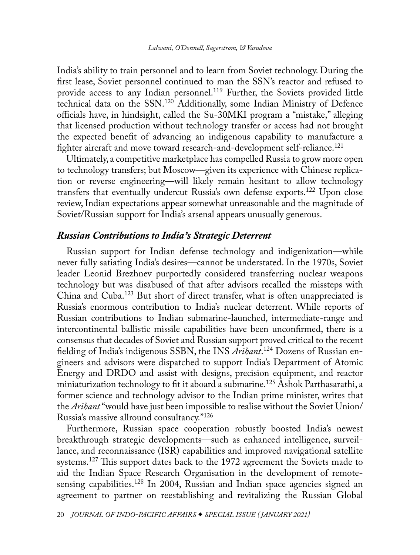<span id="page-18-0"></span>India's ability to train personnel and to learn from Soviet technology. During the first lease, Soviet personnel continued to man the SSN's reactor and refused to provide access to any Indian personnel.[119](#page-36-0) Further, the Soviets provided little technical data on the SSN.[120](#page-36-0) Additionally, some Indian Ministry of Defence officials have, in hindsight, called the Su-30MKI program a "mistake," alleging that licensed production without technology transfer or access had not brought the expected benefit of advancing an indigenous capability to manufacture a fighter aircraft and move toward research-and-development self-reliance.<sup>[121](#page-36-0)</sup>

Ultimately, a competitive marketplace has compelled Russia to grow more open to technology transfers; but Moscow—given its experience with Chinese replication or reverse engineering—will likely remain hesitant to allow technology transfers that eventually undercut Russia's own defense exports.[122](#page-36-0) Upon close review, Indian expectations appear somewhat unreasonable and the magnitude of Soviet/Russian support for India's arsenal appears unusually generous.

# *Russian Contributions to India's Strategic Deterrent*

Russian support for Indian defense technology and indigenization—while never fully satiating India's desires—cannot be understated. In the 1970s, Soviet leader Leonid Brezhnev purportedly considered transferring nuclear weapons technology but was disabused of that after advisors recalled the missteps with China and Cuba.[123](#page-36-0) But short of direct transfer, what is often unappreciated is Russia's enormous contribution to India's nuclear deterrent. While reports of Russian contributions to Indian submarine-launched, intermediate-range and intercontinental ballistic missile capabilities have been unconfirmed, there is a consensus that decades of Soviet and Russian support proved critical to the recent fielding of India's indigenous SSBN, the INS *Arihant*. [124](#page-36-0) Dozens of Russian engineers and advisors were dispatched to support India's Department of Atomic Energy and DRDO and assist with designs, precision equipment, and reactor miniaturization technology to fit it aboard a submarine.<sup>[125](#page-36-0)</sup> Ashok Parthasarathi, a former science and technology advisor to the Indian prime minister, writes that the *Arihant* "would have just been impossible to realise without the Soviet Union/ Russia's massive allround consultancy."[126](#page-36-0)

Furthermore, Russian space cooperation robustly boosted India's newest breakthrough strategic developments—such as enhanced intelligence, surveillance, and reconnaissance (ISR) capabilities and improved navigational satellite systems.<sup>[127](#page-36-0)</sup> This support dates back to the 1972 agreement the Soviets made to aid the Indian Space Research Organisation in the development of remotesensing capabilities.<sup>128</sup> In 2004, Russian and Indian space agencies signed an agreement to partner on reestablishing and revitalizing the Russian Global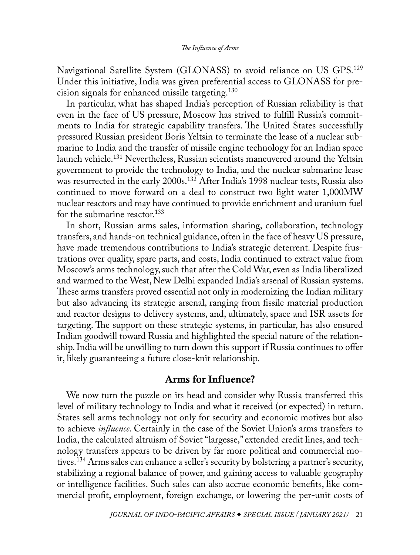<span id="page-19-0"></span>Navigational Satellite System (GLONASS) to avoid reliance on US GPS.[129](#page-37-0) Under this initiative, India was given preferential access to GLONASS for precision signals for enhanced missile targeting.[130](#page-37-0)

In particular, what has shaped India's perception of Russian reliability is that even in the face of US pressure, Moscow has strived to fulfill Russia's commitments to India for strategic capability transfers. The United States successfully pressured Russian president Boris Yeltsin to terminate the lease of a nuclear submarine to India and the transfer of missile engine technology for an Indian space launch vehicle[.131](#page-37-0) Nevertheless, Russian scientists maneuvered around the Yeltsin government to provide the technology to India, and the nuclear submarine lease was resurrected in the early 2000s.<sup>132</sup> After India's 1998 nuclear tests, Russia also continued to move forward on a deal to construct two light water 1,000MW nuclear reactors and may have continued to provide enrichment and uranium fuel for the submarine reactor.<sup>[133](#page-37-0)</sup>

In short, Russian arms sales, information sharing, collaboration, technology transfers, and hands-on technical guidance, often in the face of heavy US pressure, have made tremendous contributions to India's strategic deterrent. Despite frustrations over quality, spare parts, and costs, India continued to extract value from Moscow's arms technology, such that after the Cold War, even as India liberalized and warmed to the West, New Delhi expanded India's arsenal of Russian systems. These arms transfers proved essential not only in modernizing the Indian military but also advancing its strategic arsenal, ranging from fissile material production and reactor designs to delivery systems, and, ultimately, space and ISR assets for targeting. The support on these strategic systems, in particular, has also ensured Indian goodwill toward Russia and highlighted the special nature of the relationship. India will be unwilling to turn down this support if Russia continues to offer it, likely guaranteeing a future close-knit relationship.

# Arms for Influence?

We now turn the puzzle on its head and consider why Russia transferred this level of military technology to India and what it received (or expected) in return. States sell arms technology not only for security and economic motives but also to achieve *influence*. Certainly in the case of the Soviet Union's arms transfers to India, the calculated altruism of Soviet "largesse," extended credit lines, and technology transfers appears to be driven by far more political and commercial motives.[134](#page-37-0) Arms sales can enhance a seller's security by bolstering a partner's security, stabilizing a regional balance of power, and gaining access to valuable geography or intelligence facilities. Such sales can also accrue economic benefits, like commercial profit, employment, foreign exchange, or lowering the per-unit costs of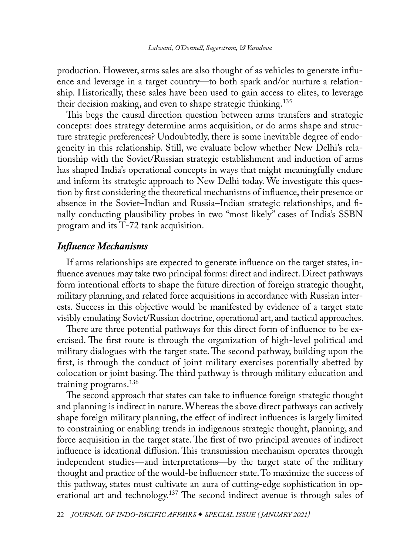<span id="page-20-0"></span>production. However, arms sales are also thought of as vehicles to generate influence and leverage in a target country—to both spark and/or nurture a relationship. Historically, these sales have been used to gain access to elites, to leverage their decision making, and even to shape strategic thinking.<sup>[135](#page-37-0)</sup>

This begs the causal direction question between arms transfers and strategic concepts: does strategy determine arms acquisition, or do arms shape and structure strategic preferences? Undoubtedly, there is some inevitable degree of endogeneity in this relationship. Still, we evaluate below whether New Delhi's relationship with the Soviet/Russian strategic establishment and induction of arms has shaped India's operational concepts in ways that might meaningfully endure and inform its strategic approach to New Delhi today. We investigate this question by first considering the theoretical mechanisms of influence, their presence or absence in the Soviet–Indian and Russia–Indian strategic relationships, and finally conducting plausibility probes in two "most likely" cases of India's SSBN program and its T-72 tank acquisition.

## *Influence Mechanisms*

If arms relationships are expected to generate influence on the target states, influence avenues may take two principal forms: direct and indirect. Direct pathways form intentional efforts to shape the future direction of foreign strategic thought, military planning, and related force acquisitions in accordance with Russian interests. Success in this objective would be manifested by evidence of a target state visibly emulating Soviet/Russian doctrine, operational art, and tactical approaches.

There are three potential pathways for this direct form of influence to be exercised. The first route is through the organization of high-level political and military dialogues with the target state. The second pathway, building upon the first, is through the conduct of joint military exercises potentially abetted by colocation or joint basing. The third pathway is through military education and training programs[.136](#page-37-0)

The second approach that states can take to influence foreign strategic thought and planning is indirect in nature. Whereas the above direct pathways can actively shape foreign military planning, the effect of indirect influences is largely limited to constraining or enabling trends in indigenous strategic thought, planning, and force acquisition in the target state. The first of two principal avenues of indirect influence is ideational diffusion. This transmission mechanism operates through independent studies—and interpretations—by the target state of the military thought and practice of the would-be influencer state. To maximize the success of this pathway, states must cultivate an aura of cutting-edge sophistication in op-erational art and technology.<sup>[137](#page-37-0)</sup> The second indirect avenue is through sales of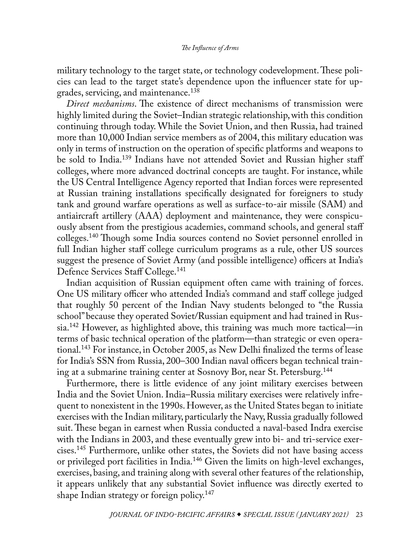<span id="page-21-0"></span>military technology to the target state, or technology codevelopment. These policies can lead to the target state's dependence upon the influencer state for upgrades, servicing, and maintenance.[138](#page-37-0)

*Direct mechanisms*. The existence of direct mechanisms of transmission were highly limited during the Soviet–Indian strategic relationship, with this condition continuing through today. While the Soviet Union, and then Russia, had trained more than 10,000 Indian service members as of 2004, this military education was only in terms of instruction on the operation of specific platforms and weapons to be sold to India.[139](#page-37-0) Indians have not attended Soviet and Russian higher staff colleges, where more advanced doctrinal concepts are taught. For instance, while the US Central Intelligence Agency reported that Indian forces were represented at Russian training installations specifically designated for foreigners to study tank and ground warfare operations as well as surface-to-air missile (SAM) and antiaircraft artillery (AAA) deployment and maintenance, they were conspicuously absent from the prestigious academies, command schools, and general staff colleges.[140](#page-37-0) Though some India sources contend no Soviet personnel enrolled in full Indian higher staff college curriculum programs as a rule, other US sources suggest the presence of Soviet Army (and possible intelligence) officers at India's Defence Services Staff College.<sup>141</sup>

Indian acquisition of Russian equipment often came with training of forces. One US military officer who attended India's command and staff college judged that roughly 50 percent of the Indian Navy students belonged to "the Russia school" because they operated Soviet/Russian equipment and had trained in Russia.[142](#page-38-0) However, as highlighted above, this training was much more tactical—in terms of basic technical operation of the platform—than strategic or even operational.[143](#page-38-0) For instance, in October 2005, as New Delhi finalized the terms of lease for India's SSN from Russia, 200–300 Indian naval officers began technical training at a submarine training center at Sosnovy Bor, near St. Petersburg[.144](#page-38-0)

Furthermore, there is little evidence of any joint military exercises between India and the Soviet Union. India–Russia military exercises were relatively infrequent to nonexistent in the 1990s. However, as the United States began to initiate exercises with the Indian military, particularly the Navy, Russia gradually followed suit. These began in earnest when Russia conducted a naval-based Indra exercise with the Indians in 2003, and these eventually grew into bi- and tri-service exercises.[145](#page-38-0) Furthermore, unlike other states, the Soviets did not have basing access or privileged port facilities in India.[146](#page-38-0) Given the limits on high-level exchanges, exercises, basing, and training along with several other features of the relationship, it appears unlikely that any substantial Soviet influence was directly exerted to shape Indian strategy or foreign policy.<sup>147</sup>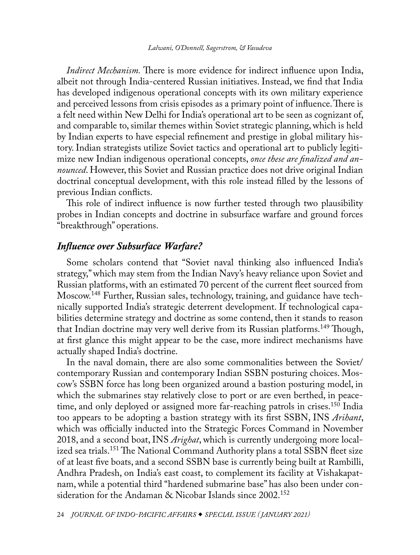<span id="page-22-0"></span>*Indirect Mechanism.* There is more evidence for indirect influence upon India, albeit not through India-centered Russian initiatives. Instead, we find that India has developed indigenous operational concepts with its own military experience and perceived lessons from crisis episodes as a primary point of influence. There is a felt need within New Delhi for India's operational art to be seen as cognizant of, and comparable to, similar themes within Soviet strategic planning, which is held by Indian experts to have especial refinement and prestige in global military history. Indian strategists utilize Soviet tactics and operational art to publicly legitimize new Indian indigenous operational concepts, *once these are finalized and announced*. However, this Soviet and Russian practice does not drive original Indian doctrinal conceptual development, with this role instead filled by the lessons of previous Indian conflicts.

This role of indirect influence is now further tested through two plausibility probes in Indian concepts and doctrine in subsurface warfare and ground forces "breakthrough" operations.

# *Influence over Subsurface Warfare?*

Some scholars contend that "Soviet naval thinking also influenced India's strategy," which may stem from the Indian Navy's heavy reliance upon Soviet and Russian platforms, with an estimated 70 percent of the current fleet sourced from Moscow[.148](#page-38-0) Further, Russian sales, technology, training, and guidance have technically supported India's strategic deterrent development. If technological capabilities determine strategy and doctrine as some contend, then it stands to reason that Indian doctrine may very well derive from its Russian platforms.<sup>149</sup> Though, at first glance this might appear to be the case, more indirect mechanisms have actually shaped India's doctrine.

In the naval domain, there are also some commonalities between the Soviet/ contemporary Russian and contemporary Indian SSBN posturing choices. Moscow's SSBN force has long been organized around a bastion posturing model, in which the submarines stay relatively close to port or are even berthed, in peacetime, and only deployed or assigned more far-reaching patrols in crises.<sup>150</sup> India too appears to be adopting a bastion strategy with its first SSBN, INS *Arihant*, which was officially inducted into the Strategic Forces Command in November 2018, and a second boat, INS *Arighat*, which is currently undergoing more localized sea trials.<sup>151</sup> The National Command Authority plans a total SSBN fleet size of at least five boats, and a second SSBN base is currently being built at Rambilli, Andhra Pradesh, on India's east coast, to complement its facility at Vishakapatnam, while a potential third "hardened submarine base" has also been under consideration for the Andaman & Nicobar Islands since 2002.<sup>152</sup>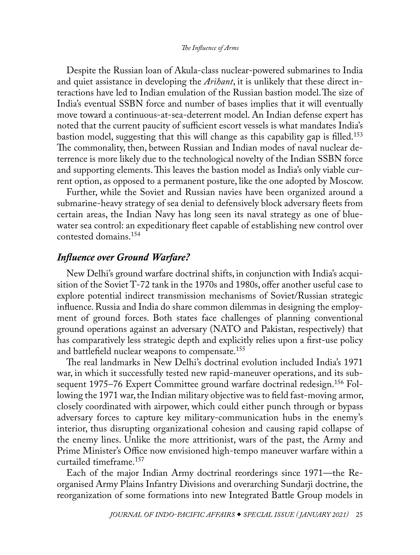<span id="page-23-0"></span>Despite the Russian loan of Akula-class nuclear-powered submarines to India and quiet assistance in developing the *Arihant*, it is unlikely that these direct interactions have led to Indian emulation of the Russian bastion model.The size of India's eventual SSBN force and number of bases implies that it will eventually move toward a continuous-at-sea-deterrent model. An Indian defense expert has noted that the current paucity of sufficient escort vessels is what mandates India's bastion model, suggesting that this will change as this capability gap is filled.<sup>153</sup> The commonality, then, between Russian and Indian modes of naval nuclear deterrence is more likely due to the technological novelty of the Indian SSBN force and supporting elements. This leaves the bastion model as India's only viable current option, as opposed to a permanent posture, like the one adopted by Moscow.

Further, while the Soviet and Russian navies have been organized around a submarine-heavy strategy of sea denial to defensively block adversary fleets from certain areas, the Indian Navy has long seen its naval strategy as one of bluewater sea control: an expeditionary fleet capable of establishing new control over contested domains.[154](#page-38-0)

## *Influence over Ground Warfare?*

New Delhi's ground warfare doctrinal shifts, in conjunction with India's acquisition of the Soviet T-72 tank in the 1970s and 1980s, offer another useful case to explore potential indirect transmission mechanisms of Soviet/Russian strategic influence. Russia and India do share common dilemmas in designing the employment of ground forces. Both states face challenges of planning conventional ground operations against an adversary (NATO and Pakistan, respectively) that has comparatively less strategic depth and explicitly relies upon a first-use policy and battlefield nuclear weapons to compensate[.155](#page-38-0)

The real landmarks in New Delhi's doctrinal evolution included India's 1971 war, in which it successfully tested new rapid-maneuver operations, and its subsequent 1975–76 Expert Committee ground warfare doctrinal redesign.<sup>156</sup> Following the 1971 war, the Indian military objective was to field fast-moving armor, closely coordinated with airpower, which could either punch through or bypass adversary forces to capture key military-communication hubs in the enemy's interior, thus disrupting organizational cohesion and causing rapid collapse of the enemy lines. Unlike the more attritionist, wars of the past, the Army and Prime Minister's Office now envisioned high-tempo maneuver warfare within a curtailed timeframe.[157](#page-39-0)

Each of the major Indian Army doctrinal reorderings since 1971—the Reorganised Army Plains Infantry Divisions and overarching Sundarji doctrine, the reorganization of some formations into new Integrated Battle Group models in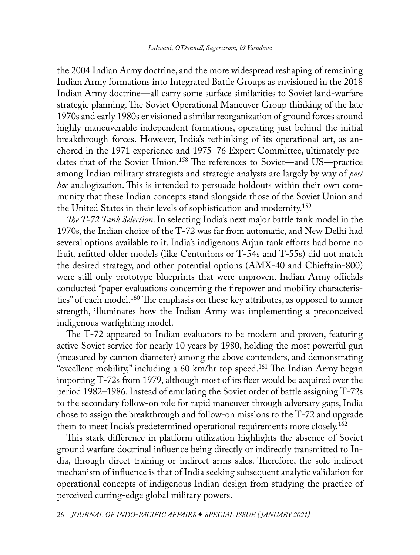<span id="page-24-0"></span>the 2004 Indian Army doctrine, and the more widespread reshaping of remaining Indian Army formations into Integrated Battle Groups as envisioned in the 2018 Indian Army doctrine—all carry some surface similarities to Soviet land-warfare strategic planning. The Soviet Operational Maneuver Group thinking of the late 1970s and early 1980s envisioned a similar reorganization of ground forces around highly maneuverable independent formations, operating just behind the initial breakthrough forces. However, India's rethinking of its operational art, as anchored in the 1971 experience and 1975–76 Expert Committee, ultimately predates that of the Soviet Union[.158](#page-39-0) The references to Soviet—and US—practice among Indian military strategists and strategic analysts are largely by way of *post hoc* analogization. This is intended to persuade holdouts within their own community that these Indian concepts stand alongside those of the Soviet Union and the United States in their levels of sophistication and modernity.[159](#page-39-0)

*The T-72 Tank Selection*. In selecting India's next major battle tank model in the 1970s, the Indian choice of the T-72 was far from automatic, and New Delhi had several options available to it. India's indigenous Arjun tank efforts had borne no fruit, refitted older models (like Centurions or T-54s and T-55s) did not match the desired strategy, and other potential options (AMX-40 and Chieftain-800) were still only prototype blueprints that were unproven. Indian Army officials conducted "paper evaluations concerning the firepower and mobility characteristics" of each model.<sup>160</sup> The emphasis on these key attributes, as opposed to armor strength, illuminates how the Indian Army was implementing a preconceived indigenous warfighting model.

The T-72 appeared to Indian evaluators to be modern and proven, featuring active Soviet service for nearly 10 years by 1980, holding the most powerful gun (measured by cannon diameter) among the above contenders, and demonstrating "excellent mobility," including a 60 km/hr top speed.[161](#page-39-0) The Indian Army began importing T-72s from 1979, although most of its fleet would be acquired over the period 1982–1986. Instead of emulating the Soviet order of battle assigning T-72s to the secondary follow-on role for rapid maneuver through adversary gaps, India chose to assign the breakthrough and follow-on missions to the T-72 and upgrade them to meet India's predetermined operational requirements more closely.<sup>[162](#page-39-0)</sup>

This stark difference in platform utilization highlights the absence of Soviet ground warfare doctrinal influence being directly or indirectly transmitted to India, through direct training or indirect arms sales. Therefore, the sole indirect mechanism of influence is that of India seeking subsequent analytic validation for operational concepts of indigenous Indian design from studying the practice of perceived cutting-edge global military powers.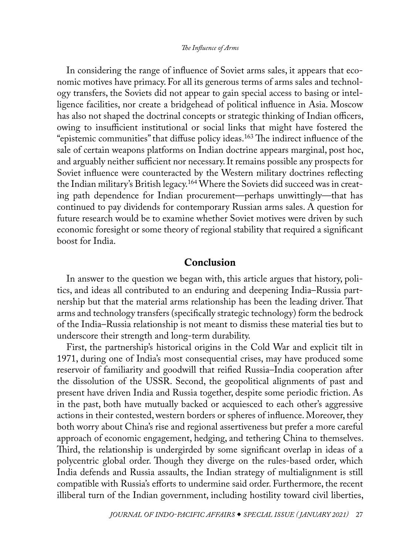<span id="page-25-0"></span>In considering the range of influence of Soviet arms sales, it appears that economic motives have primacy. For all its generous terms of arms sales and technology transfers, the Soviets did not appear to gain special access to basing or intelligence facilities, nor create a bridgehead of political influence in Asia. Moscow has also not shaped the doctrinal concepts or strategic thinking of Indian officers, owing to insufficient institutional or social links that might have fostered the "epistemic communities" that diffuse policy ideas.<sup>163</sup> The indirect influence of the sale of certain weapons platforms on Indian doctrine appears marginal, post hoc, and arguably neither sufficient nor necessary. It remains possible any prospects for Soviet influence were counteracted by the Western military doctrines reflecting the Indian military's British legacy.[164](#page-39-0) Where the Soviets did succeed was in creating path dependence for Indian procurement—perhaps unwittingly—that has continued to pay dividends for contemporary Russian arms sales. A question for future research would be to examine whether Soviet motives were driven by such economic foresight or some theory of regional stability that required a significant boost for India.

## Conclusion

In answer to the question we began with, this article argues that history, politics, and ideas all contributed to an enduring and deepening India–Russia partnership but that the material arms relationship has been the leading driver. That arms and technology transfers (specifically strategic technology) form the bedrock of the India–Russia relationship is not meant to dismiss these material ties but to underscore their strength and long-term durability.

First, the partnership's historical origins in the Cold War and explicit tilt in 1971, during one of India's most consequential crises, may have produced some reservoir of familiarity and goodwill that reified Russia–India cooperation after the dissolution of the USSR. Second, the geopolitical alignments of past and present have driven India and Russia together, despite some periodic friction. As in the past, both have mutually backed or acquiesced to each other's aggressive actions in their contested, western borders or spheres of influence. Moreover, they both worry about China's rise and regional assertiveness but prefer a more careful approach of economic engagement, hedging, and tethering China to themselves. Third, the relationship is undergirded by some significant overlap in ideas of a polycentric global order. Though they diverge on the rules-based order, which India defends and Russia assaults, the Indian strategy of multialignment is still compatible with Russia's efforts to undermine said order. Furthermore, the recent illiberal turn of the Indian government, including hostility toward civil liberties,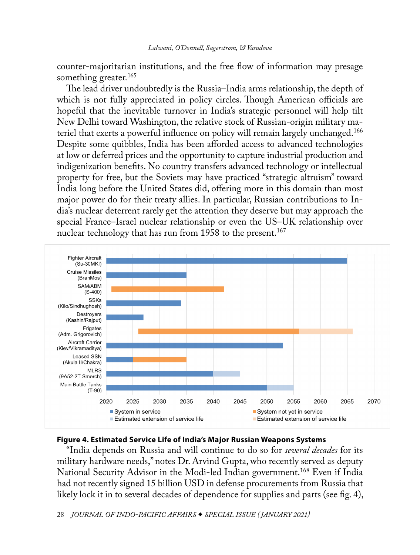<span id="page-26-0"></span>counter-majoritarian institutions, and the free flow of information may presage something greater.<sup>165</sup>

The lead driver undoubtedly is the Russia–India arms relationship, the depth of which is not fully appreciated in policy circles. Though American officials are hopeful that the inevitable turnover in India's strategic personnel will help tilt New Delhi toward Washington, the relative stock of Russian-origin military materiel that exerts a powerful influence on policy will remain largely unchanged.[166](#page-39-0) Despite some quibbles, India has been afforded access to advanced technologies at low or deferred prices and the opportunity to capture industrial production and indigenization benefits. No country transfers advanced technology or intellectual property for free, but the Soviets may have practiced "strategic altruism" toward India long before the United States did, offering more in this domain than most major power do for their treaty allies. In particular, Russian contributions to India's nuclear deterrent rarely get the attention they deserve but may approach the special France–Israel nuclear relationship or even the US–UK relationship over nuclear technology that has run from 1958 to the present.<sup>[167](#page-39-0)</sup>



## **Figure 4. Estimated Service Life of India's Major Russian Weapons Systems**

"India depends on Russia and will continue to do so for *several decades* for its military hardware needs," notes Dr. Arvind Gupta, who recently served as deputy National Security Advisor in the Modi-led Indian government.[168](#page-39-0) Even if India had not recently signed 15 billion USD in defense procurements from Russia that likely lock it in to several decades of dependence for supplies and parts (see fig. 4),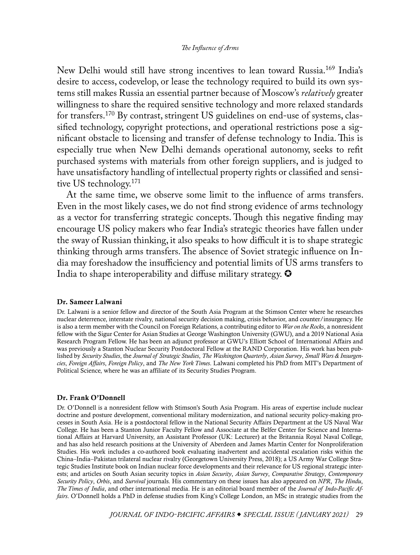<span id="page-27-0"></span>New Delhi would still have strong incentives to lean toward Russia.[169](#page-39-0) India's desire to access, codevelop, or lease the technology required to build its own systems still makes Russia an essential partner because of Moscow's *relatively* greater willingness to share the required sensitive technology and more relaxed standards for transfers.[170](#page-39-0) By contrast, stringent US guidelines on end-use of systems, classified technology, copyright protections, and operational restrictions pose a significant obstacle to licensing and transfer of defense technology to India. This is especially true when New Delhi demands operational autonomy, seeks to refit purchased systems with materials from other foreign suppliers, and is judged to have unsatisfactory handling of intellectual property rights or classified and sensitive US technology.[171](#page-39-0)

At the same time, we observe some limit to the influence of arms transfers. Even in the most likely cases, we do not find strong evidence of arms technology as a vector for transferring strategic concepts. Though this negative finding may encourage US policy makers who fear India's strategic theories have fallen under the sway of Russian thinking, it also speaks to how difficult it is to shape strategic thinking through arms transfers. The absence of Soviet strategic influence on India may foreshadow the insufficiency and potential limits of US arms transfers to India to shape interoperability and diffuse military strategy.  $\bullet$ 

### [Dr. Sameer Lalwani](#page-0-1)

Dr. Lalwani is a senior fellow and director of the South Asia Program at the Stimson Center where he researches nuclear deterrence, interstate rivalry, national security decision making, crisis behavior, and counter/insurgency. He is also a term member with the Council on Foreign Relations, a contributing editor to *War on the Rocks*, a nonresident fellow with the Sigur Center for Asian Studies at George Washington University (GWU), and a 2019 National Asia Research Program Fellow. He has been an adjunct professor at GWU's Elliott School of International Affairs and was previously a Stanton Nuclear Security Postdoctoral Fellow at the RAND Corporation. His work has been published by *Security Studies*, the *Journal of Strategic Studies*, *The Washington Quarterly*, *Asian Survey*, *Small Wars & Insurgencies*, *Foreign Affairs*, *Foreign Policy*, and *The New York Times*. Lalwani completed his PhD from MIT's Department of Political Science, where he was an affiliate of its Security Studies Program.

#### [Dr. Frank O'Donnell](#page-0-1)

Dr. O'Donnell is a nonresident fellow with Stimson's South Asia Program. His areas of expertise include nuclear doctrine and posture development, conventional military modernization, and national security policy-making processes in South Asia. He is a postdoctoral fellow in the National Security Affairs Department at the US Naval War College. He has been a Stanton Junior Faculty Fellow and Associate at the Belfer Center for Science and International Affairs at Harvard University, an Assistant Professor (UK: Lecturer) at the Britannia Royal Naval College, and has also held research positions at the University of Aberdeen and James Martin Center for Nonproliferation Studies. His work includes a co-authored book evaluating inadvertent and accidental escalation risks within the China–India–Pakistan trilateral nuclear rivalry (Georgetown University Press, 2018); a US Army War College Strategic Studies Institute book on Indian nuclear force developments and their relevance for US regional strategic interests; and articles on South Asian security topics in *Asian Security*, *Asian Survey*, *Comparative Strategy*, *Contemporary Security Policy*, *Orbis*, and *Survival* journals. His commentary on these issues has also appeared on *NPR*, *The Hindu*, *The Times of India*, and other international media. He is an editorial board member of the *Journal of Indo-Pacific Affairs*. O'Donnell holds a PhD in defense studies from King's College London, an MSc in strategic studies from the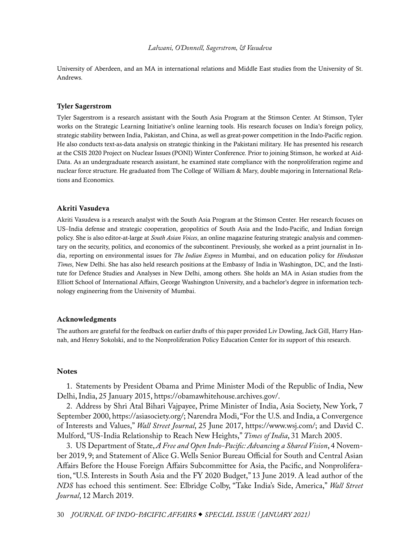#### *Lalwani, O'Donnell, Sagerstrom, & Vasudeva*

<span id="page-28-0"></span>University of Aberdeen, and an MA in international relations and Middle East studies from the University of St. Andrews.

#### [Tyler Sagerstrom](#page-0-1)

Tyler Sagerstrom is a research assistant with the South Asia Program at the Stimson Center. At Stimson, Tyler works on the Strategic Learning Initiative's online learning tools. His research focuses on India's foreign policy, strategic stability between India, Pakistan, and China, as well as great-power competition in the Indo-Pacific region. He also conducts text-as-data analysis on strategic thinking in the Pakistani military. He has presented his research at the CSIS 2020 Project on Nuclear Issues (PONI) Winter Conference. Prior to joining Stimson, he worked at Aid-Data. As an undergraduate research assistant, he examined state compliance with the nonproliferation regime and nuclear force structure. He graduated from The College of William & Mary, double majoring in International Relations and Economics.

#### [Akriti Vasudeva](#page-0-1)

Akriti Vasudeva is a research analyst with the South Asia Program at the Stimson Center. Her research focuses on US–India defense and strategic cooperation, geopolitics of South Asia and the Indo-Pacific, and Indian foreign policy. She is also editor-at-large at *South Asian Voices*, an online magazine featuring strategic analysis and commentary on the security, politics, and economics of the subcontinent. Previously, she worked as a print journalist in India, reporting on environmental issues for *The Indian Express* in Mumbai, and on education policy for *Hindustan Times*, New Delhi. She has also held research positions at the Embassy of India in Washington, DC, and the Institute for Defence Studies and Analyses in New Delhi, among others. She holds an MA in Asian studies from the Elliott School of International Affairs, George Washington University, and a bachelor's degree in information technology engineering from the University of Mumbai.

#### Acknowledgments

The authors are grateful for the feedback on earlier drafts of this paper provided Liv Dowling, Jack Gill, Harry Hannah, and Henry Sokolski, and to the Nonproliferation Policy Education Center for its support of this research.

#### **Notes**

[1](#page-0-1). Statements by President Obama and Prime Minister Modi of the Republic of India, New Delhi, India, 25 January 2015, [https://obamawhitehouse.archives.gov/.](https://obamawhitehouse.archives.gov/the-press-office/2015/01/25/statements-president-obama-and-prime-minister-modi-republic-india)

[2](#page-0-1). Address by Shri Atal Bihari Vajpayee, Prime Minister of India, Asia Society, New York, 7 September 2000, [https://asiasociety.org/](https://asiasociety.org/address-shri-atal-bihari-vajpayee); Narendra Modi, "For the U.S. and India, a Convergence of Interests and Values," *Wall Street Journal*, 25 June 2017, [https://www.wsj.com/;](https://www.wsj.com/articles/for-the-u-s-and-india-a-convergence-of-interests-and-values-1498424680) and David C. Mulford, "US-India Relationship to Reach New Heights," *Times of India*, 31 March 2005.

[3](#page-0-1). US Department of State, *A Free and Open Indo-Pacific: Advancing a Shared Vision*, 4 November 2019, 9; and Statement of Alice G. Wells Senior Bureau Official for South and Central Asian Affairs Before the House Foreign Affairs Subcommittee for Asia, the Pacific, and Nonproliferation, "U.S. Interests in South Asia and the FY 2020 Budget," 13 June 2019. A lead author of the *NDS* has echoed this sentiment. See: Elbridge Colby, "Take India's Side, America," *Wall Street Journal*, 12 March 2019.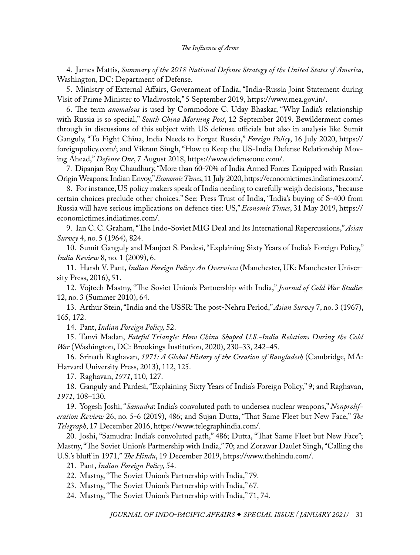<span id="page-29-0"></span>[4](#page-0-1). James Mattis, *Summary of the 2018 National Defense Strategy of the United States of America*, Washington, DC: Department of Defense.

[5](#page-0-1). Ministry of External Affairs, Government of India, "India-Russia Joint Statement during Visit of Prime Minister to Vladivostok," 5 September 2019, [https://www.mea.gov.in/.](https://www.mea.gov.in/bilateral-documents.htm?dtl/31795/India__Russia_Joint_Statement_during_visit_of_Prime_Minister_to_Vladivostok)

[6](#page-0-1). The term *anomalous* is used by Commodore C. Uday Bhaskar, "Why India's relationship with Russia is so special," *South China Morning Post*, 12 September 2019. Bewilderment comes through in discussions of this subject with US defense officials but also in analysis like Sumit Ganguly, "To Fight China, India Needs to Forget Russia," *Foreign Policy*, 16 July 2020, [https://](https://foreignpolicy.com/2020/07/16/india-fighting-china-means-forgetting-russia/) [foreignpolicy.com/;](https://foreignpolicy.com/2020/07/16/india-fighting-china-means-forgetting-russia/) and Vikram Singh, "How to Keep the US-India Defense Relationship Moving Ahead," *Defense One*, 7 August 2018, [https://www.defenseone.com/.](https://www.defenseone.com/ideas/2018/08/how-keep-us-india-defense-relationship-moving-ahead/150342/)

[7.](#page-1-0) Dipanjan Roy Chaudhury, "More than 60-70% of India Armed Forces Equipped with Russian Origin Weapons: Indian Envoy," *Economic Times*, 11 July 2020, [https://economictimes.indiatimes.com/](https://economictimes.indiatimes.com/news/defence/more-than-60-70-of-india-armed-forces-equipped-with-russian-origin-weapons-indian-envoy/articleshow/76903811.cms).

[8](#page-1-0). For instance, US policy makers speak of India needing to carefully weigh decisions, "because certain choices preclude other choices." See: Press Trust of India, "India's buying of S-400 from Russia will have serious implications on defence ties: US," *Economic Times*, 31 May 2019, [https://](https://economictimes.indiatimes.com/news/defence/indias-buying-of-s-400-from-russia-will-have-serious-implications-on-defence-ties-us/articleshow/69592036.cms) [economictimes.indiatimes.com/.](https://economictimes.indiatimes.com/news/defence/indias-buying-of-s-400-from-russia-will-have-serious-implications-on-defence-ties-us/articleshow/69592036.cms)

[9](#page-2-0). Ian C. C. Graham, "The Indo-Soviet MIG Deal and Its International Repercussions," *Asian Survey* 4, no. 5 (1964), 824.

[10](#page-2-0). Sumit Ganguly and Manjeet S. Pardesi, "Explaining Sixty Years of India's Foreign Policy," *India Review* 8, no. 1 (2009), 6.

[11](#page-2-0). Harsh V. Pant, *Indian Foreign Policy: An Overview* (Manchester, UK: Manchester University Press, 2016), 51.

[12](#page-2-0). Vojtech Mastny, "The Soviet Union's Partnership with India," *Journal of Cold War Studies* 12, no. 3 (Summer 2010), 64.

[13](#page-2-0). Arthur Stein, "India and the USSR: The post-Nehru Period," *Asian Survey* 7, no. 3 (1967), 165, 172.

[14](#page-2-0). Pant, *Indian Foreign Policy,* 52.

[15](#page-3-0). Tanvi Madan, *Fateful Triangle: How China Shaped U.S.-India Relations During the Cold War* (Washington, DC: Brookings Institution, 2020), 230–33, 242–45.

[16](#page-3-0). Srinath Raghavan, *1971: A Global History of the Creation of Bangladesh* (Cambridge, MA: Harvard University Press, 2013), 112, 125.

[17](#page-3-0). Raghavan, *1971*, 110, 127.

[18](#page-3-0). Ganguly and Pardesi, "Explaining Sixty Years of India's Foreign Policy," 9; and Raghavan, *1971*, 108–130.

[19](#page-3-0). Yogesh Joshi, "*Samudra*: India's convoluted path to undersea nuclear weapons," *Nonproliferation Review* 26, no. 5-6 (2019), 486; and Sujan Dutta, "That Same Fleet but New Face," *The Telegraph*, 17 December 2016, [https://www.telegraphindia.com/](https://www.telegraphindia.com/india/that-same-fleet-but-new-face/cid/1486069).

[20](#page-3-0). Joshi, "Samudra: India's convoluted path," 486; Dutta, "That Same Fleet but New Face"; Mastny, "The Soviet Union's Partnership with India," 70; and Zorawar Daulet Singh, "Calling the U.S.'s bluff in 1971," *The Hindu*, 19 December 2019, [https://www.thehindu.com/](https://www.thehindu.com/opinion/op-ed/calling-the-uss-bluff-in-1971/article30341831.ece).

[21](#page-3-0). Pant, *Indian Foreign Policy,* 54.

[22](#page-4-0). Mastny, "The Soviet Union's Partnership with India," 79.

[23](#page-4-0). Mastny, "The Soviet Union's Partnership with India," 67.

[24](#page-4-0). Mastny, "The Soviet Union's Partnership with India," 71, 74.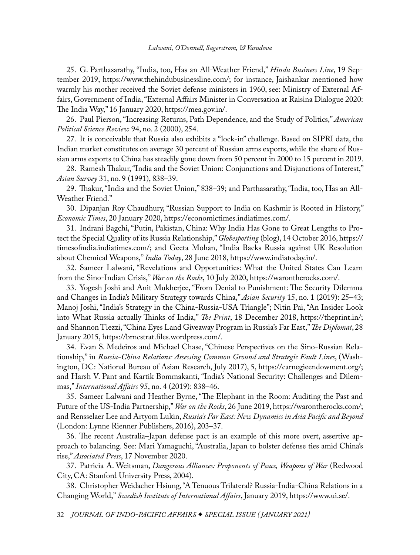#### *Lalwani, O'Donnell, Sagerstrom, & Vasudeva*

<span id="page-30-0"></span>[25](#page-4-0). G. Parthasarathy, "India, too, Has an All-Weather Friend," *Hindu Business Line*, 19 September 2019, [https://www.thehindubusinessline.com/;](https://www.thehindubusinessline.com/opinion/columns/g-parthasarathy/india-too-has-an-all-weather-friend/article29452072.ece) for instance, Jaishankar mentioned how warmly his mother received the Soviet defense ministers in 1960, see: Ministry of External Affairs, Government of India, "External Affairs Minister in Conversation at Raisina Dialogue 2020: The India Way," 16 January 2020, [https://mea.gov.in/.](https://mea.gov.in/interviews.htm?dtl/32305/External_Affairs_Minister_in_Conversation_at_Raisina_Dialogue_2020__The_India_Way)

[26](#page-4-0). Paul Pierson, "Increasing Returns, Path Dependence, and the Study of Politics," *American Political Science Review* 94, no. 2 (2000), 254.

[27](#page-5-0). It is conceivable that Russia also exhibits a "lock-in" challenge. Based on SIPRI data, the Indian market constitutes on average 30 percent of Russian arms exports, while the share of Russian arms exports to China has steadily gone down from 50 percent in 2000 to 15 percent in 2019.

[28](#page-5-0). Ramesh Thakur, "India and the Soviet Union: Conjunctions and Disjunctions of Interest," *Asian Survey* 31, no. 9 (1991), 838–39.

[29](#page-5-0). Thakur, "India and the Soviet Union," 838–39; and Parthasarathy, "India, too, Has an All-Weather Friend."

[30](#page-5-0). Dipanjan Roy Chaudhury, "Russian Support to India on Kashmir is Rooted in History," *Economic Times*, 20 January 2020, [https://economictimes.indiatimes.com/](https://economictimes.indiatimes.com/news/politics-and-nation/russian-support-to-india-on-kashmir-is-rooted-in-history/articleshow/73411150.cms).

[31](#page-5-0). Indrani Bagchi, "Putin, Pakistan, China: Why India Has Gone to Great Lengths to Protect the Special Quality of its Russia Relationship," *Globespotting* (blog), 14 October 2016, [https://](https://timesofindia.indiatimes.com/blogs/Globespotting/putin-pakistan-china-why-india-has-gone-to-great-lengths-to-protect-the-special-quality-of-its-russia-relationship/) [timesofindia.indiatimes.com/](https://timesofindia.indiatimes.com/blogs/Globespotting/putin-pakistan-china-why-india-has-gone-to-great-lengths-to-protect-the-special-quality-of-its-russia-relationship/); and Geeta Mohan, "India Backs Russia against UK Resolution about Chemical Weapons," *India Today*, 28 June 2018, [https://www.indiatoday.in/.](https://www.indiatoday.in/world/story/india-backs-russia-against-uk-resolution-about-chemical-weapons-1272064-2018-06-28)

[32](#page-5-0). Sameer Lalwani, "Revelations and Opportunities: What the United States Can Learn from the Sino-Indian Crisis," *War on the Rocks*, 10 July 2020, [https://warontherocks.com/](https://warontherocks.com/2020/07/revelations-and-opportunities-what-the-united-states-can-learn-from-the-sino-indian-crisis/).

[33](#page-6-0). Yogesh Joshi and Anit Mukherjee, "From Denial to Punishment: The Security Dilemma and Changes in India's Military Strategy towards China," *Asian Security* 15, no. 1 (2019): 25–43; Manoj Joshi, "India's Strategy in the China-Russia-USA Triangle"; Nitin Pai, "An Insider Look into What Russia actually Thinks of India," *The Print*, 18 December 2018, [https://theprint.in/;](https://theprint.in/opinion/an-insider-look-into-what-russia-actually-thinks-of-india/165344/) and Shannon Tiezzi, "China Eyes Land Giveaway Program in Russia's Far East," *The Diplomat*, 28 January 2015, [https://brncstrat.files.wordpress.com/](https://brncstrat.files.wordpress.com/2015/12/the-diplomat-china-eyes-land-giveaway-program-in-russia_s-far-east-2015.pdf).

[34](#page-6-0). Evan S. Medeiros and Michael Chase, "Chinese Perspectives on the Sino-Russian Relationship," in *Russia-China Relations: Assessing Common Ground and Strategic Fault Lines*, (Washington, DC: National Bureau of Asian Research, July 2017), 5, [https://carnegieendowment.org/;](https://carnegieendowment.org/files/SR66_Russia-ChinaRelations_July2017.pdf) and Harsh V. Pant and Kartik Bommakanti, "India's National Security: Challenges and Dilemmas," *International Affairs* 95, no. 4 (2019): 838–46.

[35](#page-6-0). Sameer Lalwani and Heather Byrne, "The Elephant in the Room: Auditing the Past and Future of the US-India Partnership," *War on the Rocks*, 26 June 2019, [https://warontherocks.com/;](https://warontherocks.com/2019/06/the-elephant-in-the-room-auditing-the-past-and-future-of-the-u-s-india-partnership/) and Rensselaer Lee and Artyom Lukin, *Russia's Far East: New Dynamics in Asia Pacific and Beyond* (London: Lynne Rienner Publishers, 2016), 203–37.

[36](#page-6-0). The recent Australia–Japan defense pact is an example of this more overt, assertive approach to balancing. See: Mari Yamaguchi, "Australia, Japan to bolster defense ties amid China's rise," *Associated Press*, 17 November 2020.

[37](#page-6-0). Patricia A. Weitsman, *Dangerous Alliances: Proponents of Peace, Weapons of War* (Redwood City, CA: Stanford University Press, 2004).

[38](#page-6-0). Christopher Weidacher Hsiung, "A Tenuous Trilateral? Russia-India-China Relations in a Changing World," *Swedish Institute of International Affairs*, January 2019, [https://www.ui.se/](https://www.ui.se/globalassets/ui.se-eng/publications/ui-publications/2019/ui-brief-no.-1-2019.pdf).

32 *JOURNAL OF INDO-PACIFIC AFFAIRS SPECIAL ISSUE ( JANUARY 2021)*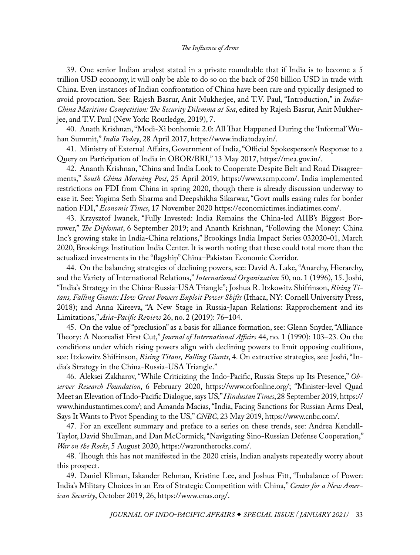<span id="page-31-0"></span>[39](#page-6-0). One senior Indian analyst stated in a private roundtable that if India is to become a 5 trillion USD economy, it will only be able to do so on the back of 250 billion USD in trade with China. Even instances of Indian confrontation of China have been rare and typically designed to avoid provocation. See: Rajesh Basrur, Anit Mukherjee, and T.V. Paul, "Introduction," in *India-China Maritime Competition: The Security Dilemma at Sea*, edited by Rajesh Basrur, Anit Mukherjee, and T.V. Paul (New York: Routledge, 2019), 7.

[40](#page-6-0). Anath Krishnan, "Modi-Xi bonhomie 2.0: All That Happened During the 'Informal' Wuhan Summit," *India Today*, 28 April 2017, [https://www.indiatoday.in/.](https://www.indiatoday.in/india/story/all-that-you-need-to-know-about-pm-modi-xi-s-informal-wuhan-summit-1222279-2018-04-28)

[41](#page-6-0). Ministry of External Affairs, Government of India, "Official Spokesperson's Response to a Query on Participation of India in OBOR/BRI," 13 May 2017, [https://mea.gov.in/](https://mea.gov.in/media-briefings.htm?dtl/28463/Official+Spokespersons+response+to+a+query+on+participation+of+India+in+OBORBRI+Forum).

[42](#page-7-0). Ananth Krishnan, "China and India Look to Cooperate Despite Belt and Road Disagreements," *South China Morning Post*, 25 April 2019, [https://www.scmp.com/.](https://www.scmp.com/week-asia/opinion/article/3007588/belt-and-road-differences-aside-china-and-india-agree-disagree) India implemented restrictions on FDI from China in spring 2020, though there is already discussion underway to ease it. See: Yogima Seth Sharma and Deepshikha Sikarwar, "Govt mulls easing rules for border nation FDI," *Economic Times*, 17 November 2020 [https://economictimes.indiatimes.com/.](https://economictimes.indiatimes.com/news/economy/foreign-trade/govt-mulls-easing-rules-for-border-nation-fdi/articleshow/79253468.cms)

[43](#page-7-0). Krzysztof Iwanek, "Fully Invested: India Remains the China-led AIIB's Biggest Borrower," *The Diplomat*, 6 September 2019; and Ananth Krishnan, "Following the Money: China Inc's growing stake in India-China relations," Brookings India Impact Series 032020-01, March 2020, Brookings Institution India Center. It is worth noting that these could total more than the actualized investments in the "flagship" China–Pakistan Economic Corridor.

[44](#page-7-0). On the balancing strategies of declining powers, see: David A. Lake, "Anarchy, Hierarchy, and the Variety of International Relations," *International Organization* 50, no. 1 (1996), 15. Joshi, "India's Strategy in the China-Russia-USA Triangle"; Joshua R. Itzkowitz Shifrinson, *Rising Titans, Falling Giants: How Great Powers Exploit Power Shifts* (Ithaca, NY: Cornell University Press, 2018); and Anna Kireeva, "A New Stage in Russia-Japan Relations: Rapprochement and its Limitations," *Asia-Pacific Review* 26, no. 2 (2019): 76–104.

[45](#page-7-0). On the value of "preclusion" as a basis for alliance formation, see: Glenn Snyder, "Alliance Theory: A Neorealist First Cut," *Journal of International Affairs* 44, no. 1 (1990): 103–23. On the conditions under which rising powers align with declining powers to limit opposing coalitions, see: Itzkowitz Shifrinson, *Rising Titans, Falling Giants*, 4. On extractive strategies, see: Joshi, "India's Strategy in the China-Russia-USA Triangle."

[46.](#page-7-0) Aleksei Zakharov, "While Criticizing the Indo-Pacific, Russia Steps up Its Presence," *Observer Research Foundation*, 6 February 2020, [https://www.orfonline.org/;](https://www.orfonline.org/expert-speak/while-criticizing-the-indo-pacific-russia-steps-up-its-presence-61102/) "Minister-level Quad Meet an Elevation of Indo-Pacific Dialogue, says US," *Hindustan Times*, 28 September 2019, [https://](https://www.hindustantimes.com/india-news/minister-level-quad-meet-an-elevation-of-indo-pacific-dialogue-says-us/story-JU7P3AT9Vmd6tUjiumZJCM.html) [www.hindustantimes.com/;](https://www.hindustantimes.com/india-news/minister-level-quad-meet-an-elevation-of-indo-pacific-dialogue-says-us/story-JU7P3AT9Vmd6tUjiumZJCM.html) and Amanda Macias, "India, Facing Sanctions for Russian Arms Deal, Says It Wants to Pivot Spending to the US," *CNBC*, 23 May 2019, [https://www.cnbc.com/](https://www.cnbc.com/2019/05/23/india-to-pivot-spending-to-the-us-amid-russia-arms-deals-sanctions.html).

[47](#page-7-0). For an excellent summary and preface to a series on these trends, see: Andrea Kendall-Taylor, David Shullman, and Dan McCormick, "Navigating Sino-Russian Defense Cooperation," *War on the Rocks*, 5 August 2020, [https://warontherocks.com/.](https://warontherocks.com/2020/08/navigating-sino-russian-defense-cooperation/)

[48](#page-7-0). Though this has not manifested in the 2020 crisis, Indian analysts repeatedly worry about this prospect.

[49](#page-8-0). Daniel Kliman, Iskander Rehman, Kristine Lee, and Joshua Fitt, "Imbalance of Power: India's Military Choices in an Era of Strategic Competition with China," *Center for a New American Security*, October 2019, 26, [https://www.cnas.org/](https://www.cnas.org/publications/reports/imbalance-of-power).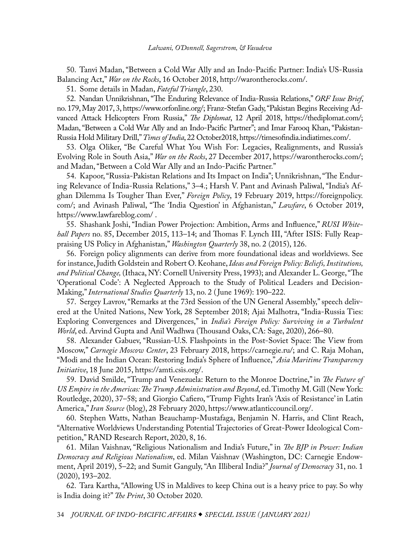<span id="page-32-0"></span>[50](#page-8-0). Tanvi Madan, "Between a Cold War Ally and an Indo-Pacific Partner: India's US-Russia Balancing Act," *War on the Rocks*, 16 October 2018, [http://warontherocks.com/](http://warontherocks.com/2018/10/between-a-cold-war-ally-and-an-indo-pacific-partner-indias-u-s-russia-balancing-act/).

[51](#page-8-0). Some details in Madan, *Fateful Triangle*, 230.

[52.](#page-8-0) Nandan Unnikrishnan, "The Enduring Relevance of India-Russia Relations," *ORF Issue Brief*, no. 179, May 2017, 3, [https://www.orfonline.org/](https://www.orfonline.org/wp-content/uploads/2017/05/ORF_IssueBrief_179_India-Russia_Nandan_FinalForUpload.pdf); Franz-Stefan Gady, "Pakistan Begins Receiving Advanced Attack Helicopters From Russia," *The Diplomat*, 12 April 2018, [https://thediplomat.com/;](https://thediplomat.com/2018/04/pakistan-begins-receiving-advanced-attack-helicopters-from-russia/) Madan, "Between a Cold War Ally and an Indo-Pacific Partner"; and Imar Farooq Khan, "Pakistan-Russia Hold Military Drill," *Times of India*, 22 October2018, [https://timesofindia.indiatimes.com/](https://timesofindia.indiatimes.com/world/pakistan/pakistan-russia-hold-joint-military-drill/articleshow/66317808.cms).

[53](#page-8-0). Olga Oliker, "Be Careful What You Wish For: Legacies, Realignments, and Russia's Evolving Role in South Asia," *War on the Rocks*, 27 December 2017, [https://warontherocks.com/;](https://warontherocks.com/2017/12/careful-wish-legacies-realignments-russias-evolving-role-south-asia/) and Madan, "Between a Cold War Ally and an Indo-Pacific Partner."

[54](#page-8-0). Kapoor, "Russia-Pakistan Relations and Its Impact on India"; Unnikrishnan, "The Enduring Relevance of India-Russia Relations," 3–4.; Harsh V. Pant and Avinash Paliwal, "India's Afghan Dilemma Is Tougher Than Ever," *Foreign Policy*, 19 February 2019, [https://foreignpolicy.](https://foreignpolicy.com/2019/02/19/indias-afghan-dilemma-is-tougher-than-ever/) [com/;](https://foreignpolicy.com/2019/02/19/indias-afghan-dilemma-is-tougher-than-ever/) and Avinash Paliwal, "The 'India Question' in Afghanistan," *Lawfare*, 6 October 2019, [https://www.lawfareblog.com/](https://www.lawfareblog.com/india-question-afghanistan) .

[55](#page-8-0). Shashank Joshi, "Indian Power Projection: Ambition, Arms and Influence," *RUSI Whitehall Papers* no. 85, December 2015, 113–14; and Thomas F. Lynch III, "After ISIS: Fully Reappraising US Policy in Afghanistan," *Washington Quarterly* 38, no. 2 (2015), 126.

[56](#page-8-0). Foreign policy alignments can derive from more foundational ideas and worldviews. See for instance, Judith Goldstein and Robert O. Keohane, *Ideas and Foreign Policy: Beliefs, Institutions, and Political Change,* (Ithaca, NY: Cornell University Press, 1993); and Alexander L. George, "The 'Operational Code': A Neglected Approach to the Study of Political Leaders and Decision-Making," *International Studies Quarterly* 13, no. 2 ( June 1969): 190–222.

[57](#page-8-0). Sergey Lavrov, "Remarks at the 73rd Session of the UN General Assembly," speech delivered at the United Nations, New York, 28 September 2018; Ajai Malhotra, "India-Russia Ties: Exploring Convergences and Divergences," in *India's Foreign Policy: Surviving in a Turbulent World*, ed. Arvind Gupta and Anil Wadhwa (Thousand Oaks, CA: Sage, 2020), 266–80.

[58](#page-9-0). Alexander Gabuev, "Russian-U.S. Flashpoints in the Post-Soviet Space: The View from Moscow," *Carnegie Moscow Center*, 23 February 2018, [https://carnegie.ru/](https://carnegie.ru/2018/02/23/russian-u.s.-flashpoints-in-post-soviet-space-view-from-moscow-pub-75631); and C. Raja Mohan, "Modi and the Indian Ocean: Restoring India's Sphere of Influence," *Asia Maritime Transparency Initiative*, 18 June 2015, [https://amti.csis.org/.](https://amti.csis.org/modi-and-the-indian-ocean-restoring-indias-sphere-of-influence/)

[59](#page-9-0). David Smilde, "[Trump](https://www.taylorfrancis.com/books/e/9780429425073/chapters/10.4324/9780429425073-4) and Venezuela: Return to the Monroe Doctrine," in *The Future of US Empire in the Americas: The Trump Administration and Beyond*, ed. Timothy M. Gill (New York: Routledge, 2020), 37–58; and Giorgio Cafiero, "Trump Fights Iran's 'Axis of Resistance' in Latin America," *Iran Source* (blog), 28 February 2020, [https://www.atlanticcouncil.org/.](https://www.atlanticcouncil.org/blogs/iransource/trump-fights-irans-axis-of-resistance-in-latin-america/)

[60](#page-9-0). Stephen Watts, Nathan Beauchamp-Mustafaga, Benjamin N. Harris, and Clint Reach, "Alternative Worldviews Understanding Potential Trajectories of Great-Power Ideological Competition," RAND Research Report, 2020, 8, 16.

[61](#page-9-0). Milan Vaishnav, "Religious Nationalism and India's Future," in *The BJP in Power: Indian Democracy and Religious Nationalism*, ed. Milan Vaishnav (Washington, DC: Carnegie Endowment, April 2019), 5–22; and Sumit Ganguly, "An Illiberal India?" *Journal of Democracy* 31, no. 1 (2020), 193–202.

[62](#page-9-0). Tara Kartha, "Allowing US in Maldives to keep China out is a heavy price to pay. So why is India doing it?" *The Print*, 30 October 2020.

34 *JOURNAL OF INDO-PACIFIC AFFAIRS SPECIAL ISSUE ( JANUARY 2021)*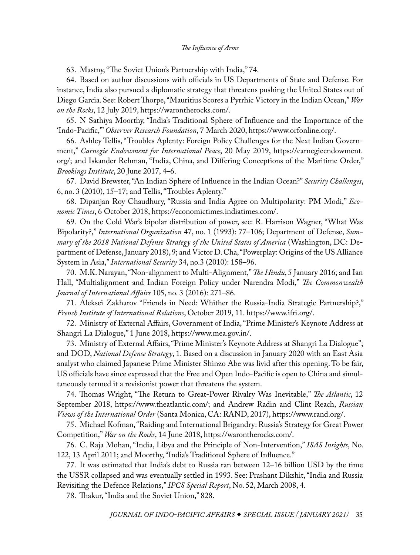<span id="page-33-0"></span>[63](#page-9-0). Mastny, "The Soviet Union's Partnership with India," 74.

[64](#page-9-0). Based on author discussions with officials in US Departments of State and Defense. For instance, India also pursued a diplomatic strategy that threatens pushing the United States out of Diego Garcia. See: Robert Thorpe, "Mauritius Scores a Pyrrhic Victory in the Indian Ocean," *War on the Rocks*, 12 July 2019, [https://warontherocks.com/](https://warontherocks.com/2019/07/mauritius-scores-a-pyrrhic-victory-in-the-indian-ocean/).

[65](#page-9-0). N Sathiya Moorthy, "India's Traditional Sphere of Influence and the Importance of the 'Indo-Pacific,'" *Observer Research Foundation*, 7 March 2020, [https://www.orfonline.org/.](https://www.orfonline.org/expert-speak/indias-traditional-sphere-of-influence-and-the-importance-of-indo-pacific-62020/)

[66](#page-9-0). Ashley Tellis, "Troubles Aplenty: Foreign Policy Challenges for the Next Indian Government," *Carnegie Endowment for International Peace*, 20 May 2019, [https://carnegieendowment.](https://carnegieendowment.org/2019/05/20/troubles-aplenty-foreign-policy-challenges-for-next-indian-government-pub-79161) [org/;](https://carnegieendowment.org/2019/05/20/troubles-aplenty-foreign-policy-challenges-for-next-indian-government-pub-79161) and Iskander Rehman, "India, China, and Differing Conceptions of the Maritime Order," *Brookings Institute*, 20 June 2017, 4–6.

[67](#page-9-0). David Brewster, "An Indian Sphere of Influence in the Indian Ocean?" *Security Challenges*, 6, no. 3 (2010), 15–17; and Tellis, "Troubles Aplenty."

[68](#page-9-0). Dipanjan Roy Chaudhury, "Russia and India Agree on Multipolarity: PM Modi," *Economic Times*, 6 October 2018, [https://economictimes.indiatimes.com/](https://economictimes.indiatimes.com/news/defence/russia-and-india-agree-on-multipolarity-pm-modi/articleshow/66094091.cms?from=mdr).

[69](#page-10-0). On the Cold War's bipolar distribution of power, see: R. Harrison Wagner, "What Was Bipolarity?," *International Organization* 47, no. 1 (1993): 77–106; Department of Defense, *Summary of the 2018 National Defense Strategy of the United States of America* (Washington, DC: Department of Defense, January 2018), 9; and Victor D. Cha, "Powerplay: Origins of the US Alliance System in Asia," *International Security* 34, no.3 (2010): 158–96.

[70](#page-10-0). M.K. Narayan, "Non-alignment to Multi-Alignment," *The Hindu*, 5 January 2016; and Ian Hall, "Multialignment and Indian Foreign Policy under Narendra Modi," *The Commonwealth Journal of International Affairs* 105, no. 3 (2016): 271–86.

[71](#page-10-0). Aleksei Zakharov "Friends in Need: Whither the Russia-India Strategic Partnership?," *French Institute of International Relations*, October 2019, 11. [https://www.ifri.org/](https://www.ifri.org/sites/default/files/atoms/files/rnv_116_zakharov_russia_india_2019.pdf).

[72](#page-10-0). Ministry of External Affairs, Government of India, "Prime Minister's Keynote Address at Shangri La Dialogue," 1 June 2018, [https://www.mea.gov.in/.](https://www.mea.gov.in/Speeches-Statements.htm?dtl/29943/Prime+Ministers+Keynote+Address+at+Shangri+La+Dialogue+June+01+2018)

[73](#page-10-0). Ministry of External Affairs, "Prime Minister's Keynote Address at Shangri La Dialogue"; and DOD, *National Defense Strategy*, 1. Based on a discussion in January 2020 with an East Asia analyst who claimed Japanese Prime Minister Shinzo Abe was livid after this opening. To be fair, US officials have since expressed that the Free and Open Indo-Pacific is open to China and simultaneously termed it a revisionist power that threatens the system.

[74](#page-10-0). Thomas Wright, "The Return to Great-Power Rivalry Was Inevitable," *The Atlantic*, 12 September 2018, [https://www.theatlantic.com/](https://www.theatlantic.com/international/archive/2018/09/liberal-international-order-free-world-trump-authoritarianism/569881/); and Andrew Radin and Clint Reach, *Russian Views of the International Order* (Santa Monica, CA: RAND, 2017), [https://www.rand.org/](https://www.rand.org/pubs/research_reports/RR1826.html).

[75](#page-10-0). Michael Kofman, "Raiding and International Brigandry: Russia's Strategy for Great Power Competition," *War on the Rocks*, 14 June 2018, [https://warontherocks.com/](https://warontherocks.com/2018/06/raiding-and-international-brigandry-russias-strategy-for-great-power-competition/).

[76](#page-11-0). C. Raja Mohan, "India, Libya and the Principle of Non-Intervention," *ISAS Insights*, No. 122, 13 April 2011; and Moorthy, "India's Traditional Sphere of Influence."

[77](#page-11-0). It was estimated that India's debt to Russia ran between 12–16 billion USD by the time the USSR collapsed and was eventually settled in 1993. See: Prashant Dikshit, "India and Russia Revisiting the Defence Relations," *IPCS Special Report*, No. 52, March 2008, 4.

[78](#page-11-0). Thakur, "India and the Soviet Union," 828.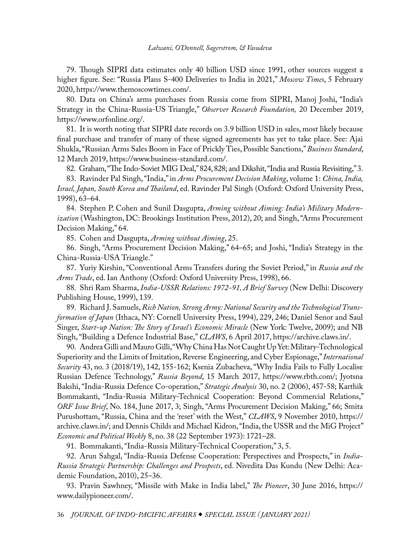## *Lalwani, O'Donnell, Sagerstrom, & Vasudeva*

<span id="page-34-0"></span>[79](#page-12-0). Though SIPRI data estimates only 40 billion USD since 1991, other sources suggest a higher figure. See: "Russia Plans S-400 Deliveries to India in 2021," *Moscow Times*, 5 February 2020, [https://www.themoscowtimes.com/](https://www.themoscowtimes.com/2020/02/05/russia-plans-s-400-deliveries-to-india-in-2021-a69166).

[80](#page-12-0). Data on China's arms purchases from Russia come from SIPRI, Manoj Joshi, "India's Strategy in the China-Russia-US Triangle," *Observer Research Foundation,* 20 December 2019, [https://www.orfonline.org/](https://www.orfonline.org/research/indias-strategy-in-the-china-russia-usa-triangle-59417/).

[81](#page-12-0). It is worth noting that SIPRI date records on 3.9 billion USD in sales, most likely because final purchase and transfer of many of these signed agreements has yet to take place. See: Ajai Shukla, "Russian Arms Sales Boom in Face of Prickly Ties, Possible Sanctions," *Business Standard*, 12 March 2019, [https://www.business-standard.com/](https://www.business-standard.com/article/defence/russian-arms-sales-boom-despite-prickly-ties-possible-sanctions-119031100955_1.html).

[82.](#page-12-0) Graham, "The Indo-Soviet MIG Deal," 824, 828; and Dikshit, "India and Russia Revisiting," 3.

[83](#page-13-0). Ravinder Pal Singh, "India," in *Arms Procurement Decision Making*, volume 1: *China, India, Israel, Japan, South Korea and Thailand*, ed. Ravinder Pal Singh (Oxford: Oxford University Press, 1998), 63–64.

[84](#page-13-0). Stephen P. Cohen and Sunil Dasgupta, *Arming without Aiming: India's Military Modernization* (Washington, DC: Brookings Institution Press, 2012), 20; and Singh, "Arms Procurement Decision Making," 64.

[85](#page-13-0). Cohen and Dasgupta, *Arming without Aiming*, 25.

[86](#page-13-0). Singh, "Arms Procurement Decision Making," 64–65; and Joshi, "India's Strategy in the China-Russia-USA Triangle."

[87](#page-13-0). Yuriy Kirshin, "Conventional Arms Transfers during the Soviet Period," in *Russia and the Arms Trade*, ed. Ian Anthony (Oxford: Oxford University Press, 1998), 66.

[88](#page-13-0). Shri Ram Sharma, *India-USSR Relations: 1972-91, A Brief Survey* (New Delhi: Discovery Publishing House, 1999), 139.

[89](#page-13-0). Richard J. Samuels, *Rich Nation, Strong Army: National Security and the Technological Transformation of Japan* (Ithaca, NY: Cornell University Press, 1994), 229, 246; Daniel Senor and Saul Singer, *Start-up Nation: The Story of Israel's Economic Miracle* (New York: Twelve, 2009); and NB Singh, "Building a Defence Industrial Base," *CLAWS*, 6 April 2017, [https://archive.claws.in/.](https://archive.claws.in/1726/building-a-defence-industrial-base-lt-gen-nb-singh.html)

[90.](#page-13-0) Andrea Gilli and Mauro Gilli, "Why China Has Not Caught Up Yet: Military-Technological Superiority and the Limits of Imitation, Reverse Engineering, and Cyber Espionage," *International Security* 43, no. 3 (2018/19), 142, 155-162; Ksenia Zubacheva, "Why India Fails to Fully Localise Russian Defence Technology," *Russia Beyond*, 15 March 2017, [https://www.rbth.com/;](https://www.rbth.com/defence/2017/03/15/minor-obstacles-hamper-transfer-of-military-technology-from-russia-to-india_720123) Jyotsna Bakshi, "India-Russia Defence Co-operation," *Strategic Analysis* 30, no. 2 (2006), 457-58; Karthik Bommakanti, "India-Russia Military-Technical Cooperation: Beyond Commercial Relations," *ORF Issue Brief*, No. 184, June 2017, 3; Singh, "Arms Procurement Decision Making," 66; Smita Purushottam, "Russia, China and the 'reset' with the West," *CLAWS*, 9 November 2010, [https://](https://archive.claws.in/444/russia-china-and-the-reset-with-the-west-smita-purushottam.html) [archive.claws.in/;](https://archive.claws.in/444/russia-china-and-the-reset-with-the-west-smita-purushottam.html) and Dennis Childs and Michael Kidron, "India, the USSR and the MiG Project" *Economic and Political Weekly* 8, no. 38 (22 September 1973): 1721–28.

[91](#page-14-0). Bommakanti, "India-Russia Military-Technical Cooperation," 3, 5.

[92](#page-14-0). Arun Sahgal, "India-Russia Defense Cooperation: Perspectives and Prospects," in *India-Russia Strategic Partnership: Challenges and Prospects*, ed. Nivedita Das Kundu (New Delhi: Academic Foundation, 2010), 25–36.

[93](#page-14-0). Pravin Sawhney, "Missile with Make in India label," *The Pioneer*, 30 June 2016, [https://](https://www.dailypioneer.com/2016/columnists/missile-with-make-in-india-label.html) [www.dailypioneer.com/](https://www.dailypioneer.com/2016/columnists/missile-with-make-in-india-label.html).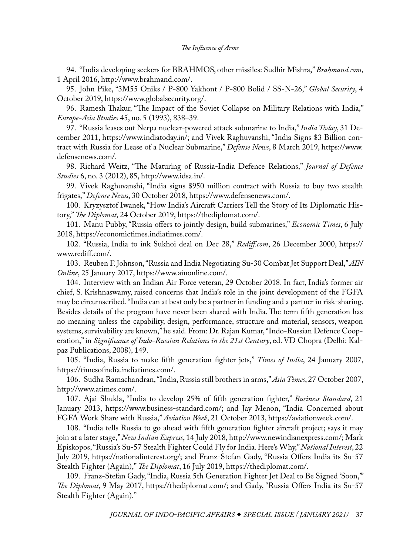<span id="page-35-0"></span>[94](#page-14-0). "India developing seekers for BRAHMOS, other missiles: Sudhir Mishra," *Brahmand.com*, 1 April 2016[,](http://www.brahmand.com/news/India-developing-seekers-for-BRAHMOS-other-missiles-Sudhir-Mishra/14739/1/10.html) [http://www.brahmand.com/.](http://www.brahmand.com/news/India-developing-seekers-for-BRAHMOS-other-missiles-Sudhir-Mishra/14739/1/10.html)

[95](#page-14-0). John Pike, "3M55 Oniks / P-800 Yakhont / P-800 Bolid / SS-N-26," *Global Security*, 4 October 2019,<https://www.globalsecurity.org/>.

[96](#page-14-0). Ramesh Thakur, "The Impact of the Soviet Collapse on Military Relations with India," *Europe-Asia Studies* 45, no. 5 (1993), 838–39.

[97](#page-15-0). "Russia leases out Nerpa nuclear-powered attack submarine to India," *India Today*, 31 December 2011[,](https://www.indiatoday.in/world/asia/story/russia-leases-out-nerpa-nuclear-submarine-to-india-150449-2011-12-31) [https://www.indiatoday.in/;](https://www.indiatoday.in/world/asia/story/russia-leases-out-nerpa-nuclear-submarine-to-india-150449-2011-12-31) and Vivek Raghuvanshi, "India Signs \$3 Billion contract with Russia for Lease of a Nuclear Submarine," *Defense News*, 8 March 2019, [https://www.](https://www.defensenews.com/global/asia-pacific/2019/03/08/india-signs-3-billion-contract-with-russia-for-lease-of-a-nuclear-submarine/) [defensenews.com/](https://www.defensenews.com/global/asia-pacific/2019/03/08/india-signs-3-billion-contract-with-russia-for-lease-of-a-nuclear-submarine/).

[98](#page-15-0). Richard Weitz, "The Maturing of Russia-India Defence Relations," *Journal of Defence Studies* 6, no. 3 (2012), 85[,](http://www.idsa.in/jds/6_3_2012_TheMaturingofRussiaIndiaDefenceRelations_RichardWeitz) [http://www.idsa.in/.](http://www.idsa.in/jds/6_3_2012_TheMaturingofRussiaIndiaDefenceRelations_RichardWeitz)

[99](#page-15-0). Vivek Raghuvanshi, "India signs [\\$](https://www.defensenews.com/naval/2018/10/30/india-signs-950-million-contract-with-russia-to-buy-two-stealth-frigates/)950 million contract with Russia to buy two stealth frigates," *Defense News*, 30 October 2018, [https://www.defensenews.com/.](https://www.defensenews.com/naval/2018/10/30/india-signs-950-million-contract-with-russia-to-buy-two-stealth-frigates/)

[100](#page-15-0). Kryzysztof Iwanek, "How India's Aircraft Carriers Tell the Story of Its Diplomatic History," *The Diplomat*, 24 October 2019, [https://thediplomat.com/](https://thediplomat.com/2019/10/how-indias-aircraft-carriers-tell-the-story-of-its-diplomatic-history/).

[101](#page-15-0). Manu Pubby, "Russia offers to jointly design, build submarines," *Economic Times*, 6 July 2018, [https://economictimes.indiatimes.com/](https://economictimes.indiatimes.com/news/defence/russia-offers-to-jointly-design-build-submarines/articleshow/64877908.cms).

[102](#page-15-0). "Russia, India to ink Sukhoi deal on Dec 28," *Rediff.com*, 26 December 2000[,](https://www.rediff.com/news/2000/dec/26sukhoi.htm) [https://](https://www.rediff.com/news/2000/dec/26sukhoi.htm) [www.rediff.com/.](https://www.rediff.com/news/2000/dec/26sukhoi.htm)

[103](#page-15-0). Reuben F. John[so](https://www.ainonline.com/aviation-news/defense/2017-01-25/russia-and-india-negotiating-su-30-combat-jet-support-deal)n, "Russia and India Negotiating Su-30 Combat Jet Support Deal," *AIN Online*, 25 January 2017, [https://www.ainonline.com/](https://www.ainonline.com/aviation-news/defense/2017-01-25/russia-and-india-negotiating-su-30-combat-jet-support-deal).

[104](#page-15-0). Interview with an Indian Air Force veteran, 29 October 2018. In fact, India's former air chief, S. Krishnaswamy, raised concerns that India's role in the joint development of the FGFA may be circumscribed. "India can at best only be a partner in funding and a partner in risk-sharing. Besides details of the program have never been shared with India. The term fifth generation has no meaning unless the capability, design, performance, structure and material, sensors, weapon systems, survivability are known," he said. From: Dr. Rajan Kumar, "Indo-Russian Defence Cooperation," in *Significance of Indo-Russian Relations in the 21st Century*, ed. VD Chopra (Delhi: Kalpaz Publications, 2008), 149.

[105](#page-15-0). "India, Russia to make fifth generation fighter jets," *Times of India*, 24 January 2007, [https://timesofindia.indiatimes.com/](https://timesofindia.indiatimes.com/India-Russia-to-make-5th-generation-fighter-jets/articleshow/1433785.cms).

[106](#page-15-0). Sudha Ramachandran, "India, Russia still brothers in arms," *Asia Times*, 27 October 2007, [http://www.atimes.com/](http://www.atimes.com/atimes/South_Asia/IJ27Df01.html).

[107](#page-15-0). Ajai [Sh](https://www.business-standard.com/article/companies/india-to-develop-25-of-fifth-generation-fighter-110010600047_1.html)ukla, "India to develop 25% of fifth generation fighter," *Business Standard*, 21 January 2013, [https://www.business-standard.com/](https://www.business-standard.com/article/companies/india-to-develop-25-of-fifth-generation-fighter-110010600047_1.html); and Jay Me[n](https://www.business-standard.com/article/companies/india-to-develop-25-of-fifth-generation-fighter-110010600047_1.html)on, "India Concerned about FGFA Work Share with Russia," *Aviation Week*, 21 October 2013, [https://aviationweek.com/](https://aviationweek.com/defense-space/india-concerned-about-fgfa-work-share-russia).

[108](#page-15-0). "India tells Russia to go ahead with fifth generation fighter aircraft project; says it may join at a later stage," *New Indian Express*, 14 July 2018[,](http://www.newindianexpress.com/nation/2018/jul/14/india-tells-russia-to-go-ahead-with-fifth-generation-fighter-aircraft-project-says-it-may-join-at-a-1843133.html) [http://www.newindianexpress.com/](http://www.newindianexpress.com/nation/2018/jul/14/india-tells-russia-to-go-ahead-with-fifth-generation-fighter-aircraft-project-says-it-may-join-at-a-1843133.html); Mark Episkopos, "Russia's Su-57 Stealth Fighter Could Fly for India. Here's Why," *National Interest*, 22 July 2019, [https://nationalinterest.org/;](https://nationalinterest.org/blog/buzz/russias-su-57-stealth-fighter-could-fly-india-heres-why-68347) and Franz-Stefan Gady, "Russia Offers India its Su-57 Stealth Fighter (Again)," *The Diplomat*, 16 July 2019, [https://thediplomat.com/.](https://thediplomat.com/2019/07/russia-offers-india-its-su-57-stealth-fighter-again/)

[109](#page-15-0). Franz-Stefan Gady, "India, Russia 5th Generation Fighter Jet Deal to Be Signed 'Soon,'" *The Diplomat*, 9 May 2017, [https://thediplomat.com/;](https://thediplomat.com/2017/05/india-russia-5th-generation-fighter-jet-deal-to-be-signed-soon/) and Gady, "Russia Offers India its Su-57 Stealth Fighter (Again)."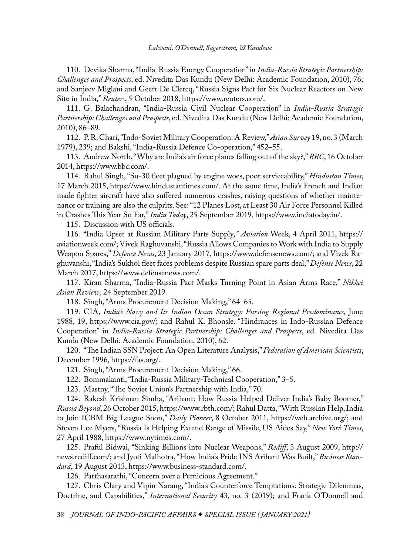<span id="page-36-0"></span>[110](#page-17-0). Devika Sharma, "India-Russia Energy Cooperation" in *India-Russia Strategic Partnership: Challenges and Prospects*, ed. Nivedita Das Kundu (New Delhi: Academic Foundation, 2010), 76; and Sanjeev Miglani and Geert De Clercq, "Russia Signs Pact for Six Nuclear Reactors on New Site in India," *Reuters*, 5 October 2018, [https://www.reuters.com/.](https://www.reuters.com/article/us-india-russia-nuclear/russia-signs-pact-for-six-nuclear-reactors-on-new-site-in-india-idUSKCN1MF217)

[111](#page-17-0). G. Balachandran, "India-Russia Civil Nuclear Cooperation" in *India-Russia Strategic Partnership: Challenges and Prospects*, ed. Nivedita Das Kundu (New Delhi: Academic Foundation, 2010), 86–89.

[112](#page-17-0). P. R. Chari, "Indo-Soviet Military Cooperation: A Review," *Asian Survey* 19, no. 3 (March 1979), 239; and Bakshi, "India-Russia Defence Co-operation," 452–55.

[113](#page-17-0). Andrew North, "Why are India's air force planes falling out of the sky?," *BBC*, 16 October 2014, [https://www.bbc.com/](https://www.bbc.com/news/world-asia-india-29639897).

[114](#page-17-0). Rahul Singh, "Su-30 fleet plagued by engine woes, poor serviceability," *Hindustan Times*, 17 March 2015[,](https://www.hindustantimes.com/india/su-30-fleet-plagued-by-engine-woes-poor-serviceability/story-CUNvrCuhWdK0w4J6jVecIK.html) [https://www.hindustantimes.com/](https://www.hindustantimes.com/india/su-30-fleet-plagued-by-engine-woes-poor-serviceability/story-CUNvrCuhWdK0w4J6jVecIK.html). At the same time, India's French and Indian made fighter aircraft have also suffered numerous crashes, raising questions of whether maintenance or training are also the culprits. See: "12 Planes Lost, at Least 30 Air Force Personnel Killed in Crashes This Year So Far," *India Today*, 25 September 2019, [https://www.indiatoday.in/](https://www.indiatoday.in/india/story/indian-air-force-planes-crashes-personnel-killed-in-2019-1603033-2019-09-25).

[115](#page-17-0). Discussion with US officials.

[116](#page-17-0). "India Upset at Russian Military Parts Supply*," Aviation* Week, 4 April 2011, [https://](https://aviationweek.com/india-upset-russian-military-parts-supply) [aviationweek.com/](https://aviationweek.com/india-upset-russian-military-parts-supply); Vivek Raghuvanshi, "Russia Allows Companies to Work with India to Supply Weapon Spares," *Defense News*, 23 January 2017, [https://www.defensenews.com/](https://www.defensenews.com/pentagon/2017/01/23/russia-allows-companies-to-work-with-india-to-supply-weapon-spares/); and Vivek Raghuvanshi, "India's Sukhoi fleet faces problems despite Russian spare parts deal," *Defense News*, 22 March 2017[,](https://www.defensenews.com/air/2017/03/22/india-s-sukhoi-fleet-faces-problems-despite-russian-spare-parts-deal/) [https://www.defensenews.com/.](https://www.defensenews.com/air/2017/03/22/india-s-sukhoi-fleet-faces-problems-despite-russian-spare-parts-deal/)

[117](#page-17-0). Kiran Sharma, "India-Russia Pact Marks Turning Point in Asian Arms Race," *Nikkei Asian Review,* 24 September 2019.

[118](#page-17-0). Singh, "Arms Procurement Decision Making," 64–65.

[119](#page-18-0). CIA, India's Navy and Its Indian Ocean Strategy: Pursing Regional Predominance, June 1988, 19, [https://www.cia.gov/](https://www.cia.gov/library/readingroom/docs/CIA-RDP89S01450R000300330001-8.pdf); and Rahul K. Bhonsle. "Hindrances in Indo-Russian Defence Cooperation" in *India-Russia Strategic Partnership: Challenges and Prospects*, ed. Nivedita Das Kundu (New Delhi: Academic Foundation, 2010), 62.

[120](#page-18-0). "The Indian SSN Project: An Open Literature Analysis," *Federation of American Scientists*, December 1996, [https://fas.org/.](https://fas.org/nuke/guide/india/sub/ssn/part01.htm)

[121](#page-18-0). Singh, "Arms Procurement Decision Making," 66.

[122](#page-18-0). Bommakanti, "India-Russia Military-Technical Cooperation," 3–5.

[123](#page-18-0). Mastny, "The Soviet Union's Partnership with India," 70.

[124](#page-18-0). Rakesh Krishnan Simha, "Arihant: How Russia Helped Deliver India's Baby Boomer," *Russia Beyond*, 26 October 2015, [https://www.rbth.com/;](https://www.rbth.com/blogs/stranger_than_fiction/2015/10/26/arihant-how-rusia-helped-deliver-indias-baby-boomer_533849) Rahul Datta, "With Russian Help, India to Join ICBM Big League Soon," *Daily Pioneer*, 8 October 2011, [https://web.archive.org/;](https://web.archive.org/web/20120426233305/http://dailypioneer.com/columnists/item/47621-with-russian-help-india-to-join-icbm-big-league-soon.html) and Steven Lee Myers, "Russia Is Helping Extend Range of Missile, US Aides Say," *New York Times*, 27 April 1988, [https://www.nytimes.com/.](https://www.nytimes.com/1998/04/27/world/russia-is-helping-india-extend-range-of-missile-us-aides-say.html)

[125](#page-18-0). Praful Bidwai, "Sinking Billions into Nuclear Weapons," *Rediff*, 3 August 2009, [http://](http://news.rediff.com/column/2009/aug/03/sinking-billions-into-nuclear-weapons.htm) [news.rediff.com/;](http://news.rediff.com/column/2009/aug/03/sinking-billions-into-nuclear-weapons.htm) and Jyoti Malhotra, "How India's Pride INS Arihant Was Built," *Business Standard*, 19 August 2013, [https://www.business-standard.com/](https://www.business-standard.com/article/specials/how-india-s-pride-ins-arihant-was-built-113081100745_1.html).

[126](#page-18-0). Parthasarathi, "Concern over a Pernicious Agreement."

[127](#page-18-0). Chris Clary and Vipin Narang, "India's Counterforce Temptations: Strategic Dilemmas, Doctrine, and Capabilities," *International Security* 43, no. 3 (2019); and Frank O'Donnell and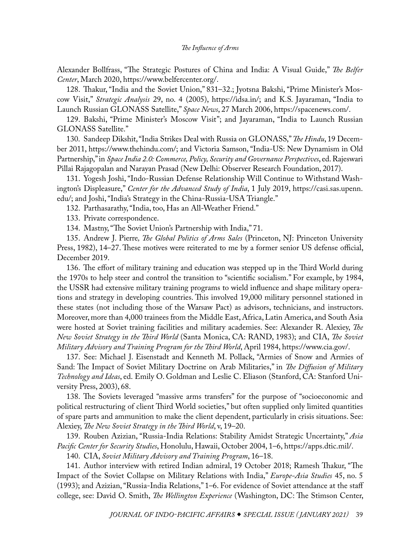<span id="page-37-0"></span>Alexander Bollfrass, "The Strategic Postures of China and India: A Visual Guide," *The Belfer Center*, March 2020, [https://www.belfercenter.org/.](https://www.belfercenter.org/publication/strategic-postures-china-and-india-visual-guide)

[128](#page-18-0). Thakur, "India and the Soviet Union," 831–32.; Jyotsna Bakshi, "Prime Minister's Moscow Visit," *Strategic Analysis* 29, no. 4 (2005), [https://idsa.in/;](https://idsa.in/strategicanalysis/PrimeMinistersMoscowVisit_jbakshi_1005) and K.S. Jayaraman, "India to Launch Russian GLONASS Satellite," *Space News*, 27 March 2006, [https://spacenews.com/](https://spacenews.com/india-launch-russian-glonass-satellite/).

[129](#page-19-0). Bakshi, "Prime Minister's Moscow Visit"; and Jayaraman, "India to Launch Russian GLONASS Satellite."

[130.](#page-19-0) Sandeep Dikshit, "India Strikes Deal with Russia on GLONASS," *The Hindu*, 19 December 2011, [https://www.thehindu.com/;](https://www.thehindu.com/news/national/india-strikes-deal-with-russia-on-glonass/article2726888.ece) and Victoria Samson, "India-US: New Dynamism in Old Partnership," in *Space India 2.0: Commerce, Policy, Security and Governance Perspectives*, ed. Rajeswari Pillai Rajagopalan and Narayan Prasad (New Delhi: Observer Research Foundation, 2017).

[131](#page-19-0). Yogesh Joshi, "Indo-Russian Defense Relationship Will Continue to Withstand Washington's Displeasure," *Center for the Advanced Study of India*, 1 July 2019, [https://casi.sas.upenn.](https://casi.sas.upenn.edu/iit/yjoshi) [edu/](https://casi.sas.upenn.edu/iit/yjoshi); and Joshi, "India's Strategy in the China-Russia-USA Triangle."

[132](#page-19-0). Parthasarathy, "India, too, Has an All-Weather Friend."

[133](#page-19-0). Private correspondence.

[134](#page-19-0). Mastny, "The Soviet Union's Partnership with India," 71.

[135](#page-20-0). Andrew J. Pierre*, The Global Politics of Arms Sales* (Princeton, NJ: Princeton University Press, 1982), 14–27. These motives were reiterated to me by a former senior US defense official, December 2019.

[136](#page-20-0). The effort of military training and education was stepped up in the Third World during the 1970s to help steer and control the transition to "scientific socialism." For example, by 1984, the USSR had extensive military training programs to wield influence and shape military operations and strategy in developing countries. This involved 19,000 military personnel stationed in these states (not including those of the Warsaw Pact) as advisors, technicians, and instructors. Moreover, more than 4,000 trainees from the Middle East, Africa, Latin America, and South Asia were hosted at Soviet training facilities and military academies. See: Alexander R. Alexiey, *The New Soviet Strategy in the Third World* (Santa Monica, CA: RAND, 1983); and CIA, *The Soviet Military Advisory and Training Program for the Third World*, April 1984, [https://www.cia.gov/](https://www.cia.gov/library/readingroom/docs/DOC_0000497180.pdf).

[137](#page-20-0). See: Michael J. Eisenstadt and Kenneth M. Pollack, "Armies of Snow and Armies of Sand: The Impact of Soviet Military Doctrine on Arab Militaries," in *The Diffusion of Military Technology and Ideas*, ed. Emily O. Goldman and Leslie C. Eliason (Stanford, CA: Stanford University Press, 2003), 68.

[138](#page-21-0). The Soviets leveraged "massive arms transfers" for the purpose of "socioeconomic and political restructuring of client Third World societies," but often supplied only limited quantities of spare parts and ammunition to make the client dependent, particularly in crisis situations. See: Alexiey, *The New Soviet Strategy in the Third World*, v, 19–20.

[139](#page-21-0). Rouben Azizian, "Russia-India Relations: Stability Amidst Strategic Uncertainty," *Asia Pacific Center for Security Studies*, Honolulu, Hawaii, October 2004, 1–6, [https://apps.dtic.mil/.](https://apps.dtic.mil/sti/pdfs/ADA591913.pdf)

[140](#page-21-0). CIA, *Soviet Military Advisory and Training Program*, 16–18.

[141](#page-21-0). Author interview with retired Indian admiral, 19 October 2018; Ramesh Thakur, "The Impact of the Soviet Collapse on Military Relations with India," *Europe-Asia Studies* 45, no. 5 (1993); and Azizian, "Russia-India Relations," 1–6. For evidence of Soviet attendance at the staff college, see: David O. Smith, *The Wellington Experience* (Washington, DC: The Stimson Center,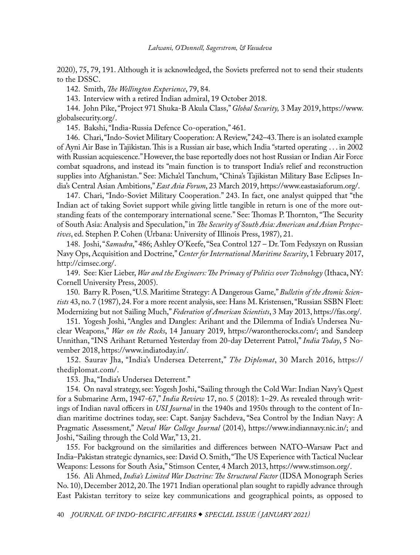<span id="page-38-0"></span>2020), 75, 79, 191. Although it is acknowledged, the Soviets preferred not to send their students to the DSSC.

[142](#page-21-0). Smith, *The Wellington Experience*, 79, 84.

[143](#page-21-0). Interview with a retired Indian admiral, 19 October 2018.

[144](#page-21-0). John Pike, "Project 971 Shuka-B Akula Class," *Global Security,* 3 May 2019, [https://www.](https://www.globalsecurity.org/military/world/india/s-akula.htm) [globalsecurity.org/.](https://www.globalsecurity.org/military/world/india/s-akula.htm)

[145](#page-21-0). Bakshi, "India-Russia Defence Co-operation," 461.

[146.](#page-21-0) Chari, "Indo-Soviet Military Cooperation: A Review," 242–43. There is an isolated example of Ayni Air Base in Tajikistan. This is a Russian air base, which India "started operating . . . in 2002 with Russian acquiescence." However, the base reportedly does not host Russian or Indian Air Force combat squadrons, and instead its "main function is to transport India's relief and reconstruction supplies into Afghanistan." See: Micha'el Tanchum, "China's Tajikistan Military Base Eclipses India's Central Asian Ambitions," *East Asia Forum*, 23 March 2019, [https://www.eastasiaforum.org/.](https://www.eastasiaforum.org/2019/03/23/chinas-tajikistan-military-base-eclipses-indias-central-asian-ambitions/)

[147](#page-21-0). Chari, "Indo-Soviet Military Cooperation." 243. In fact, one analyst quipped that "the Indian act of taking Soviet support while giving little tangible in return is one of the more outstanding feats of the contemporary international scene." See: Thomas P. Thornton, "The Security of South Asia: Analysis and Speculation," in *The Security of South Asia: American and Asian Perspectives*, ed. Stephen P. Cohen (Urbana: University of Illinois Press, 1987), 21.

[148](#page-22-0). Joshi, "*Samudra*," 486; Ashley O'Keefe, "Sea Control 127 – Dr. Tom Fedyszyn on Russian Navy Ops, Acquisition and Doctrine," *Center for International Maritime Security*, 1 February 2017, [http://cimsec.org/.](http://cimsec.org/sea-control-127-dr-tom-fedyszyn-russian-navy-ops-acquisition-doctrine/30799)

[149](#page-22-0). See: Kier Lieber, *War and the Engineers: The Primacy of Politics over Technology* (Ithaca, NY: Cornell University Press, 2005).

[150.](#page-22-0) Barry R. Posen, "U.S. Maritime Strategy: A Dangerous Game," *Bulletin of the Atomic Scientists* 43, no. 7 (1987), 24. For a more recent analysis, see: Hans M. Kristensen, "Russian SSBN Fleet: Modernizing but not Sailing Much," *Federation of American Scientists*, 3 May 2013[,](https://fas.org/blogs/security/2013/05/russianssbns/) [https://fas.org/](https://fas.org/blogs/security/2013/05/russianssbns/).

[151](#page-22-0). Yogesh Joshi, "Angles and Dangles: Arihant and the Dilemma of India's Undersea Nuclear Weapons," *War on the Rocks*, 14 January 2019, [https://warontherocks.com/](https://warontherocks.com/2019/01/angles-and-dangles-arihant-and-the-dilemma-of-indias-undersea-nuclear-weapons/); and Sandeep Unnithan, "I[N](https://www.indiatoday.in/india/story/ins-arihant-returned-yesterday-from-20-day-deterrent-patrol-1383188-2018-11-05)S Arihant Returned Yesterday from 20-day Deterrent Patrol," *India Today*, 5 November 2018, [https://www.indiatoday.in/.](https://www.indiatoday.in/india/story/ins-arihant-returned-yesterday-from-20-day-deterrent-patrol-1383188-2018-11-05)

[152.](#page-22-0) Saurav Jha, "India's Undersea Deterrent," *The Diplomat*, 30 March 2016[,](https://thediplomat.com/2016/03/indias-undersea-deterrent/?allpages=yes&print=yes) [https://](https://thediplomat.com/2016/03/indias-undersea-deterrent/?allpages=yes&print=yes) [thediplomat.com/](https://thediplomat.com/2016/03/indias-undersea-deterrent/?allpages=yes&print=yes).

[153](#page-23-0). Jha, "India's Undersea Deterrent."

[154](#page-23-0). On naval strategy, see: Yogesh Joshi, "Sailing through the Cold War: Indian Navy's Quest for a Submarine Arm, 1947-67," *India Review* 17, no. 5 (2018): 1–29. As revealed through writings of Indian naval officers in *USI Journal* in the 1940s and 1950s through to the content of Indian maritime doctrines today, see: Capt. Sanjay Sachdeva, ["](https://www.indiannavy.nic.in/sites/default/themes/indiannavy/images/pdf/resources/article_12.pdf)Sea Control by the Indian Navy: A Pragmatic Assessment," *Naval War College Journal* (2014), [https://www.indiannavy.nic.in/](https://www.indiannavy.nic.in/sites/default/themes/indiannavy/images/pdf/resources/article_12.pdf); and Joshi, "Sailing through the Cold War," 13, 21.

[155.](#page-23-0) For background on the similarities and differences between NATO–Warsaw Pact and India–Pakistan strategic dynamics, see: David O. Smith, "The US Experience with Tactical Nuclear Weapons: Lessons for South Asia," Stimson Center, 4 March 2013[,](https://www.stimson.org/content/smith-tactical-nuclear-weapons-south-asia) [https://www.stimson.org/.](https://www.stimson.org/content/smith-tactical-nuclear-weapons-south-asia)

[156](#page-23-0). Ali Ahmed, *India's Limited War Doctrine: The Structural Factor* (IDSA Monograph Series No. 10), December 2012, 20. The 1971 Indian operational plan sought to rapidly advance through East Pakistan territory to seize key communications and geographical points, as opposed to